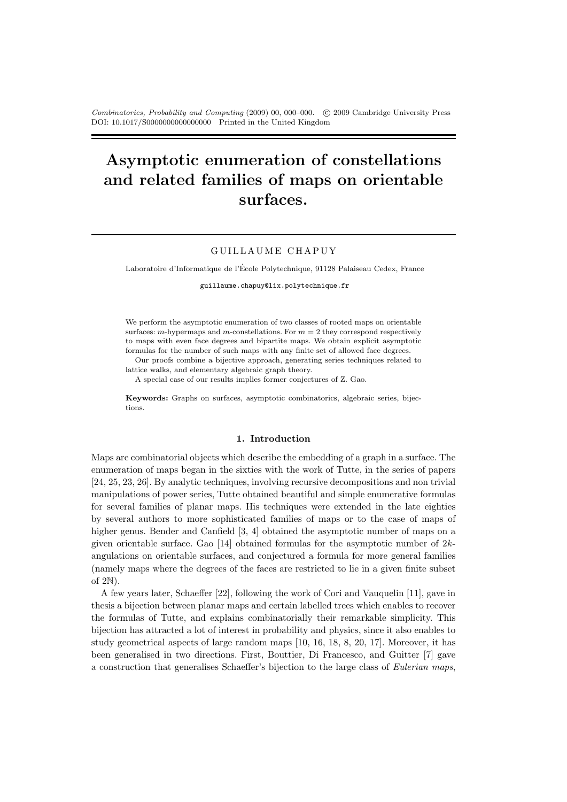Combinatorics, Probability and Computing (2009) 00, 000–000. (c) 2009 Cambridge University Press DOI: 10.1017/S0000000000000000 Printed in the United Kingdom

# Asymptotic enumeration of constellations and related families of maps on orientable surfaces.

# GUILLAUME CHAPUY

Laboratoire d'Informatique de l'Ecole Polytechnique, 91128 Palaiseau Cedex, France ´

guillaume.chapuy@lix.polytechnique.fr

We perform the asymptotic enumeration of two classes of rooted maps on orientable surfaces: m-hypermaps and m-constellations. For  $m = 2$  they correspond respectively to maps with even face degrees and bipartite maps. We obtain explicit asymptotic formulas for the number of such maps with any finite set of allowed face degrees.

Our proofs combine a bijective approach, generating series techniques related to lattice walks, and elementary algebraic graph theory.

A special case of our results implies former conjectures of Z. Gao.

Keywords: Graphs on surfaces, asymptotic combinatorics, algebraic series, bijections.

#### 1. Introduction

Maps are combinatorial objects which describe the embedding of a graph in a surface. The enumeration of maps began in the sixties with the work of Tutte, in the series of papers [24, 25, 23, 26]. By analytic techniques, involving recursive decompositions and non trivial manipulations of power series, Tutte obtained beautiful and simple enumerative formulas for several families of planar maps. His techniques were extended in the late eighties by several authors to more sophisticated families of maps or to the case of maps of higher genus. Bender and Canfield [3, 4] obtained the asymptotic number of maps on a given orientable surface. Gao [14] obtained formulas for the asymptotic number of  $2k$ angulations on orientable surfaces, and conjectured a formula for more general families (namely maps where the degrees of the faces are restricted to lie in a given finite subset of 2N).

A few years later, Schaeffer [22], following the work of Cori and Vauquelin [11], gave in thesis a bijection between planar maps and certain labelled trees which enables to recover the formulas of Tutte, and explains combinatorially their remarkable simplicity. This bijection has attracted a lot of interest in probability and physics, since it also enables to study geometrical aspects of large random maps [10, 16, 18, 8, 20, 17]. Moreover, it has been generalised in two directions. First, Bouttier, Di Francesco, and Guitter [7] gave a construction that generalises Schaeffer's bijection to the large class of Eulerian maps,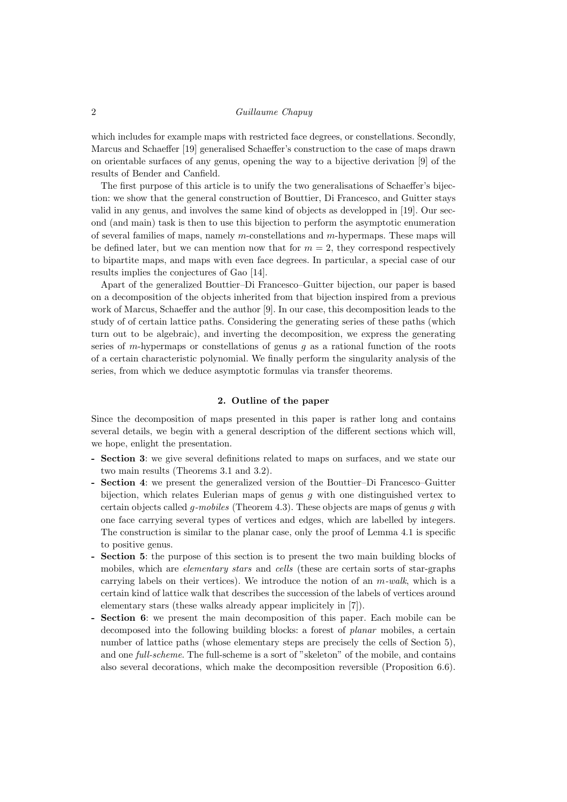which includes for example maps with restricted face degrees, or constellations. Secondly, Marcus and Schaeffer [19] generalised Schaeffer's construction to the case of maps drawn on orientable surfaces of any genus, opening the way to a bijective derivation [9] of the results of Bender and Canfield.

The first purpose of this article is to unify the two generalisations of Schaeffer's bijection: we show that the general construction of Bouttier, Di Francesco, and Guitter stays valid in any genus, and involves the same kind of objects as developped in [19]. Our second (and main) task is then to use this bijection to perform the asymptotic enumeration of several families of maps, namely  $m$ -constellations and  $m$ -hypermaps. These maps will be defined later, but we can mention now that for  $m = 2$ , they correspond respectively to bipartite maps, and maps with even face degrees. In particular, a special case of our results implies the conjectures of Gao [14].

Apart of the generalized Bouttier–Di Francesco–Guitter bijection, our paper is based on a decomposition of the objects inherited from that bijection inspired from a previous work of Marcus, Schaeffer and the author [9]. In our case, this decomposition leads to the study of of certain lattice paths. Considering the generating series of these paths (which turn out to be algebraic), and inverting the decomposition, we express the generating series of m-hypermaps or constellations of genus  $q$  as a rational function of the roots of a certain characteristic polynomial. We finally perform the singularity analysis of the series, from which we deduce asymptotic formulas via transfer theorems.

# 2. Outline of the paper

Since the decomposition of maps presented in this paper is rather long and contains several details, we begin with a general description of the different sections which will, we hope, enlight the presentation.

- Section 3: we give several definitions related to maps on surfaces, and we state our two main results (Theorems 3.1 and 3.2).
- Section 4: we present the generalized version of the Bouttier–Di Francesco–Guitter bijection, which relates Eulerian maps of genus  $g$  with one distinguished vertex to certain objects called *q-mobiles* (Theorem 4.3). These objects are maps of genus q with one face carrying several types of vertices and edges, which are labelled by integers. The construction is similar to the planar case, only the proof of Lemma 4.1 is specific to positive genus.
- Section 5: the purpose of this section is to present the two main building blocks of mobiles, which are *elementary stars* and *cells* (these are certain sorts of star-graphs carrying labels on their vertices). We introduce the notion of an  $m$ -walk, which is a certain kind of lattice walk that describes the succession of the labels of vertices around elementary stars (these walks already appear implicitely in [7]).
- Section 6: we present the main decomposition of this paper. Each mobile can be decomposed into the following building blocks: a forest of planar mobiles, a certain number of lattice paths (whose elementary steps are precisely the cells of Section 5), and one full-scheme. The full-scheme is a sort of "skeleton" of the mobile, and contains also several decorations, which make the decomposition reversible (Proposition 6.6).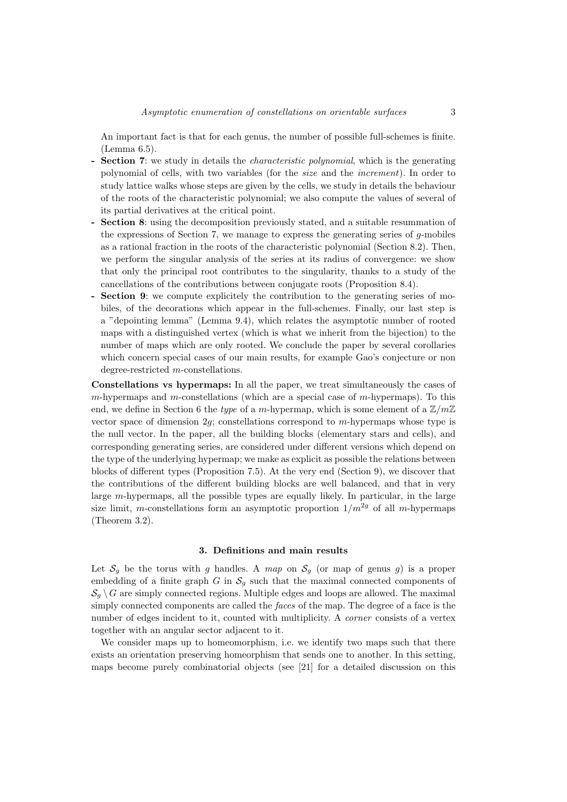An important fact is that for each genus, the number of possible full-schemes is finite. (Lemma 6.5).

- **Section 7:** we study in details the *characteristic polynomial*, which is the generating polynomial of cells, with two variables (for the size and the increment). In order to study lattice walks whose steps are given by the cells, we study in details the behaviour of the roots of the characteristic polynomial; we also compute the values of several of its partial derivatives at the critical point.
- Section 8: using the decomposition previously stated, and a suitable resummation of the expressions of Section 7, we manage to express the generating series of  $g$ -mobiles as a rational fraction in the roots of the characteristic polynomial (Section 8.2). Then, we perform the singular analysis of the series at its radius of convergence: we show that only the principal root contributes to the singularity, thanks to a study of the cancellations of the contributions between conjugate roots (Proposition 8.4).
- **Section 9:** we compute explicitely the contribution to the generating series of mobiles, of the decorations which appear in the full-schemes. Finally, our last step is a "depointing lemma" (Lemma 9.4), which relates the asymptotic number of rooted maps with a distinguished vertex (which is what we inherit from the bijection) to the number of maps which are only rooted. We conclude the paper by several corollaries which concern special cases of our main results, for example Gao's conjecture or non degree-restricted m-constellations.

Constellations vs hypermaps: In all the paper, we treat simultaneously the cases of  $m$ -hypermaps and  $m$ -constellations (which are a special case of  $m$ -hypermaps). To this end, we define in Section 6 the type of a m-hypermap, which is some element of a  $\mathbb{Z}/m\mathbb{Z}$ vector space of dimension  $2g$ ; constellations correspond to  $m$ -hypermaps whose type is the null vector. In the paper, all the building blocks (elementary stars and cells), and corresponding generating series, are considered under different versions which depend on the type of the underlying hypermap; we make as explicit as possible the relations between blocks of different types (Proposition 7.5). At the very end (Section 9), we discover that the contributions of the different building blocks are well balanced, and that in very large m-hypermaps, all the possible types are equally likely. In particular, in the large size limit, m-constellations form an asymptotic proportion  $1/m^{2g}$  of all m-hypermaps (Theorem 3.2).

#### 3. Definitions and main results

Let  $S_q$  be the torus with q handles. A map on  $S_q$  (or map of genus q) is a proper embedding of a finite graph G in  $S<sub>q</sub>$  such that the maximal connected components of  $\mathcal{S}_a \setminus G$  are simply connected regions. Multiple edges and loops are allowed. The maximal simply connected components are called the *faces* of the map. The degree of a face is the number of edges incident to it, counted with multiplicity. A corner consists of a vertex together with an angular sector adjacent to it.

We consider maps up to homeomorphism, i.e. we identify two maps such that there exists an orientation preserving homeorphism that sends one to another. In this setting, maps become purely combinatorial objects (see [21] for a detailed discussion on this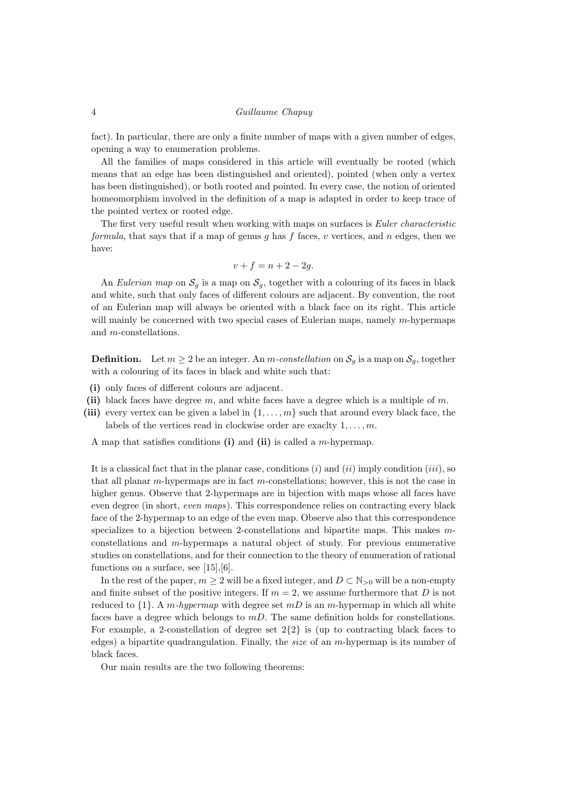fact). In particular, there are only a finite number of maps with a given number of edges, opening a way to enumeration problems.

All the families of maps considered in this article will eventually be rooted (which means that an edge has been distinguished and oriented), pointed (when only a vertex has been distinguished), or both rooted and pointed. In every case, the notion of oriented homeomorphism involved in the definition of a map is adapted in order to keep trace of the pointed vertex or rooted edge.

The first very useful result when working with maps on surfaces is Euler characteristic formula, that says that if a map of genus g has f faces, v vertices, and n edges, then we have:

$$
v + f = n + 2 - 2g.
$$

An Eulerian map on  $S_g$  is a map on  $S_g$ , together with a colouring of its faces in black and white, such that only faces of different colours are adjacent. By convention, the root of an Eulerian map will always be oriented with a black face on its right. This article will mainly be concerned with two special cases of Eulerian maps, namely  $m$ -hypermaps and m-constellations.

**Definition.** Let  $m \geq 2$  be an integer. An m-constellation on  $S_g$  is a map on  $S_g$ , together with a colouring of its faces in black and white such that:

- (i) only faces of different colours are adjacent.
- (ii) black faces have degree  $m$ , and white faces have a degree which is a multiple of  $m$ .
- (iii) every vertex can be given a label in  $\{1, \ldots, m\}$  such that around every black face, the labels of the vertices read in clockwise order are exactly  $1, \ldots, m$ .

A map that satisfies conditions (i) and (ii) is called a m-hypermap.

It is a classical fact that in the planar case, conditions  $(i)$  and  $(ii)$  imply condition  $(iii)$ , so that all planar  $m$ -hypermaps are in fact  $m$ -constellations; however, this is not the case in higher genus. Observe that 2-hypermaps are in bijection with maps whose all faces have even degree (in short, even maps). This correspondence relies on contracting every black face of the 2-hypermap to an edge of the even map. Observe also that this correspondence specializes to a bijection between 2-constellations and bipartite maps. This makes mconstellations and m-hypermaps a natural object of study. For previous enumerative studies on constellations, and for their connection to the theory of enumeration of rational functions on a surface, see  $[15], [6]$ .

In the rest of the paper,  $m \geq 2$  will be a fixed integer, and  $D \subset \mathbb{N}_{>0}$  will be a non-empty and finite subset of the positive integers. If  $m = 2$ , we assume furthermore that D is not reduced to  $\{1\}$ . A m-hypermap with degree set mD is an m-hypermap in which all white faces have a degree which belongs to  $mD$ . The same definition holds for constellations. For example, a 2-constellation of degree set  $2\{2\}$  is (up to contracting black faces to edges) a bipartite quadrangulation. Finally, the size of an m-hypermap is its number of black faces.

Our main results are the two following theorems: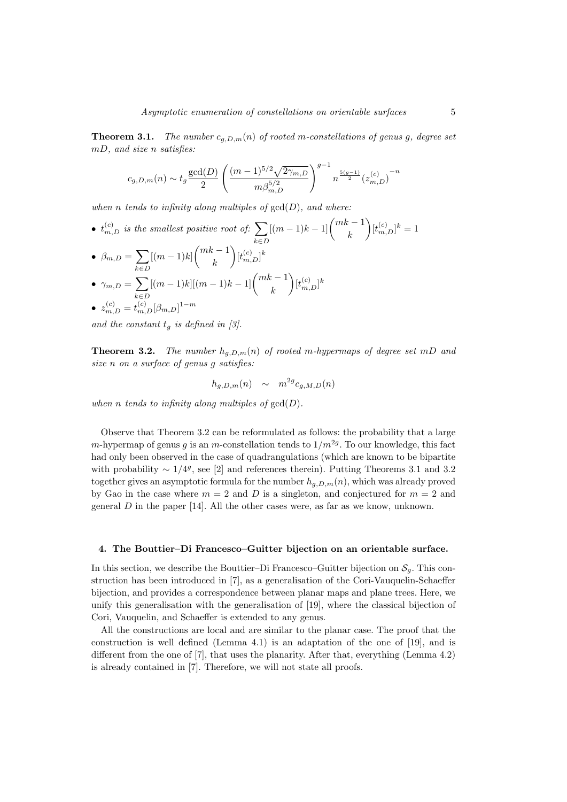**Theorem 3.1.** The number  $c_{q,D,m}(n)$  of rooted m-constellations of genus g, degree set mD, and size n satisfies:

$$
c_{g,D,m}(n) \sim t_g \frac{\gcd(D)}{2} \left(\frac{(m-1)^{5/2}\sqrt{2\gamma_{m,D}}}{m\beta_{m,D}^{5/2}}\right)^{g-1} n^{\frac{5(g-1)}{2}} {(z_{m,D}^{(c)})}^{-n}
$$

when n tends to infinity along multiples of  $gcd(D)$ , and where:

•  $t_{m,D}^{(c)}$  is the smallest positive root of:  $\sum$  $k \in D$  $[(m-1)k-1]$  $\binom{mk-1}{k}$ k  $\Big)[t_{m,D}^{(c)}]^k = 1$ •  $\beta_{m,D} = \sum (m-1)k \binom{mk-1}{k}$ k∈D k  $\Big)[t_{m,D}^{(c)}]^k$  $\bullet$   $\gamma_{m,D} = \sum$  $k \in D$  $[(m-1)k][(m-1)k-1]$  $\binom{mk-1}{k}$ k  $\Big)[t_{m,D}^{(c)}]^k$  $\bullet \ \ z_{m,D}^{(c)}=t_{m,D}^{(c)}[\beta_{m,D}]^{1-m}$ 

and the constant  $t_q$  is defined in [3].

**Theorem 3.2.** The number  $h_{q,D,m}(n)$  of rooted m-hypermaps of degree set mD and size n on a surface of genus g satisfies:

$$
h_{g,D,m}(n) \sim m^{2g} c_{g,M,D}(n)
$$

when n tends to infinity along multiples of  $gcd(D)$ .

Observe that Theorem 3.2 can be reformulated as follows: the probability that a large m-hypermap of genus g is an m-constellation tends to  $1/m^{2g}$ . To our knowledge, this fact had only been observed in the case of quadrangulations (which are known to be bipartite with probability  $\sim 1/4<sup>g</sup>$ , see [2] and references therein). Putting Theorems 3.1 and 3.2 together gives an asymptotic formula for the number  $h_{q,D,m}(n)$ , which was already proved by Gao in the case where  $m = 2$  and D is a singleton, and conjectured for  $m = 2$  and general  $D$  in the paper [14]. All the other cases were, as far as we know, unknown.

#### 4. The Bouttier–Di Francesco–Guitter bijection on an orientable surface.

In this section, we describe the Bouttier–Di Francesco–Guitter bijection on  $\mathcal{S}_q$ . This construction has been introduced in [7], as a generalisation of the Cori-Vauquelin-Schaeffer bijection, and provides a correspondence between planar maps and plane trees. Here, we unify this generalisation with the generalisation of [19], where the classical bijection of Cori, Vauquelin, and Schaeffer is extended to any genus.

All the constructions are local and are similar to the planar case. The proof that the construction is well defined (Lemma 4.1) is an adaptation of the one of [19], and is different from the one of [7], that uses the planarity. After that, everything (Lemma 4.2) is already contained in [7]. Therefore, we will not state all proofs.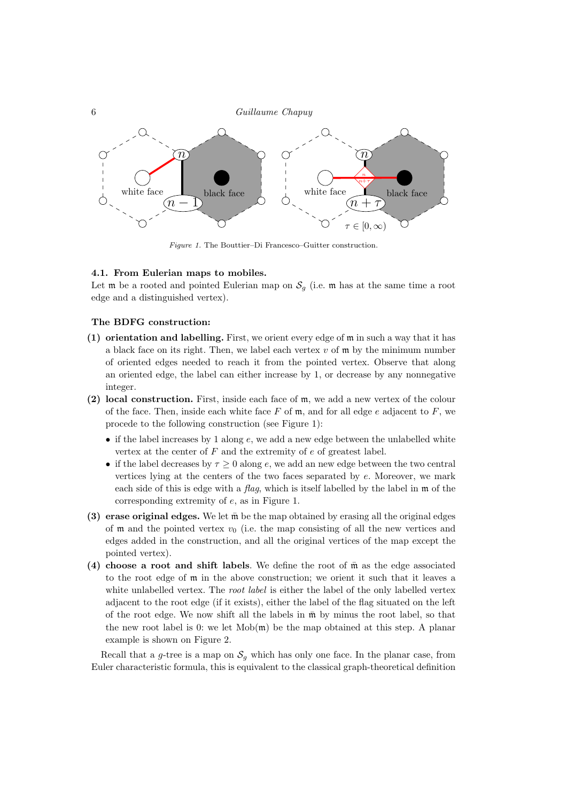

Figure 1. The Bouttier–Di Francesco–Guitter construction.

#### 4.1. From Eulerian maps to mobiles.

Let  $\mathfrak m$  be a rooted and pointed Eulerian map on  $\mathcal S_q$  (i.e.  $\mathfrak m$  has at the same time a root edge and a distinguished vertex).

#### The BDFG construction:

- (1) orientation and labelling. First, we orient every edge of m in such a way that it has a black face on its right. Then, we label each vertex  $v$  of  $\mathfrak m$  by the minimum number of oriented edges needed to reach it from the pointed vertex. Observe that along an oriented edge, the label can either increase by 1, or decrease by any nonnegative integer.
- (2) local construction. First, inside each face of m, we add a new vertex of the colour of the face. Then, inside each white face  $F$  of  $m$ , and for all edge  $e$  adjacent to  $F$ , we procede to the following construction (see Figure 1):
	- if the label increases by 1 along  $e$ , we add a new edge between the unlabelled white vertex at the center of  $F$  and the extremity of  $e$  of greatest label.
	- if the label decreases by  $\tau \geq 0$  along e, we add an new edge between the two central vertices lying at the centers of the two faces separated by e. Moreover, we mark each side of this is edge with a flag, which is itself labelled by the label in  $\mathfrak m$  of the corresponding extremity of e, as in Figure 1.
- (3) erase original edges. We let  $\bar{m}$  be the map obtained by erasing all the original edges of  $\mathfrak m$  and the pointed vertex  $v_0$  (i.e. the map consisting of all the new vertices and edges added in the construction, and all the original vertices of the map except the pointed vertex).
- (4) choose a root and shift labels. We define the root of  $\bar{m}$  as the edge associated to the root edge of m in the above construction; we orient it such that it leaves a white unlabelled vertex. The *root label* is either the label of the only labelled vertex adjacent to the root edge (if it exists), either the label of the flag situated on the left of the root edge. We now shift all the labels in  $\bar{m}$  by minus the root label, so that the new root label is 0: we let  $\text{Mob}(\mathfrak{m})$  be the map obtained at this step. A planar example is shown on Figure 2.

Recall that a g-tree is a map on  $S_q$  which has only one face. In the planar case, from Euler characteristic formula, this is equivalent to the classical graph-theoretical definition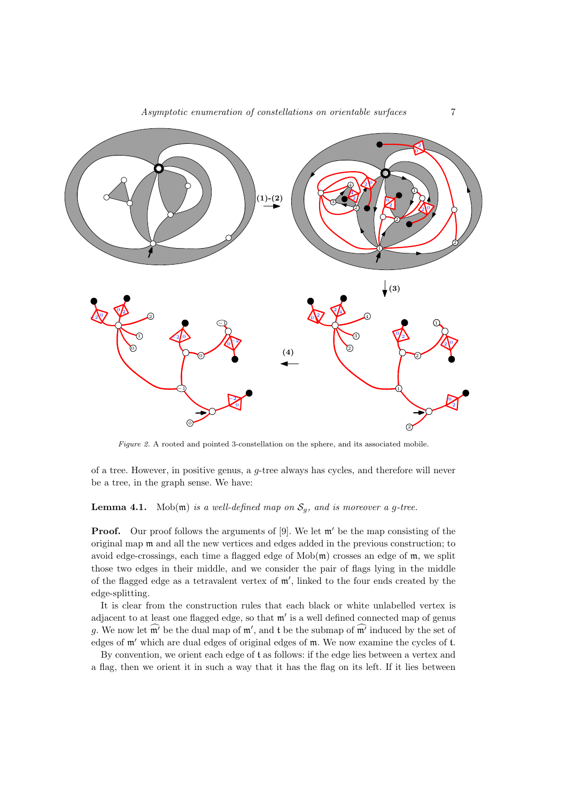

Figure 2. A rooted and pointed 3-constellation on the sphere, and its associated mobile.

of a tree. However, in positive genus, a g-tree always has cycles, and therefore will never be a tree, in the graph sense. We have:

**Lemma 4.1.** Mob(m) is a well-defined map on  $S_g$ , and is moreover a g-tree.

**Proof.** Our proof follows the arguments of [9]. We let  $\mathfrak{m}'$  be the map consisting of the original map m and all the new vertices and edges added in the previous construction; to avoid edge-crossings, each time a flagged edge of  $\text{Mob}(\mathfrak{m})$  crosses an edge of  $\mathfrak{m}$ , we split those two edges in their middle, and we consider the pair of flags lying in the middle of the flagged edge as a tetravalent vertex of  $m'$ , linked to the four ends created by the edge-splitting.

It is clear from the construction rules that each black or white unlabelled vertex is adjacent to at least one flagged edge, so that  $m'$  is a well defined connected map of genus g. We now let  $\mathfrak{m}'$  be the dual map of  $\mathfrak{m}'$ , and t be the submap of  $\mathfrak{m}'$  induced by the set of edges of  $m'$  which are dual edges of original edges of  $m$ . We now examine the cycles of  $t$ .

By convention, we orient each edge of t as follows: if the edge lies between a vertex and a flag, then we orient it in such a way that it has the flag on its left. If it lies between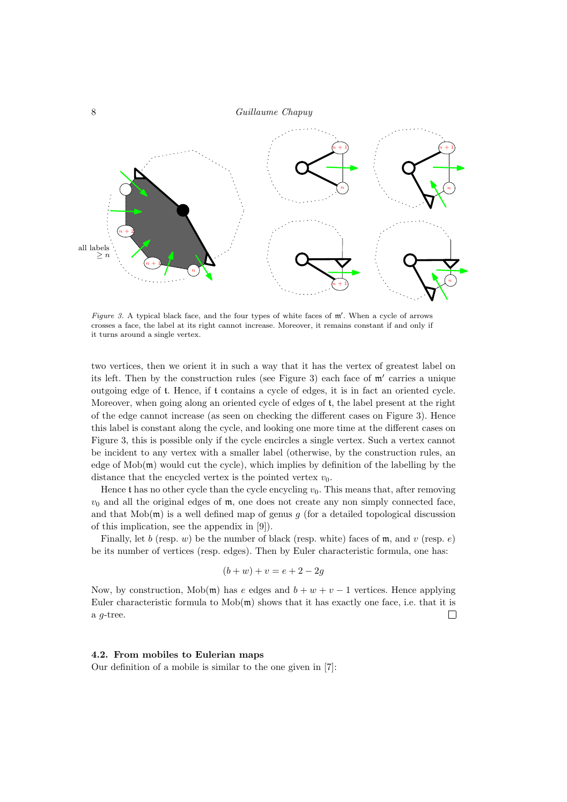

Figure 3. A typical black face, and the four types of white faces of  $m'$ . When a cycle of arrows crosses a face, the label at its right cannot increase. Moreover, it remains constant if and only if it turns around a single vertex.

two vertices, then we orient it in such a way that it has the vertex of greatest label on its left. Then by the construction rules (see Figure 3) each face of  $m'$  carries a unique outgoing edge of t. Hence, if t contains a cycle of edges, it is in fact an oriented cycle. Moreover, when going along an oriented cycle of edges of t, the label present at the right of the edge cannot increase (as seen on checking the different cases on Figure 3). Hence this label is constant along the cycle, and looking one more time at the different cases on Figure 3, this is possible only if the cycle encircles a single vertex. Such a vertex cannot be incident to any vertex with a smaller label (otherwise, by the construction rules, an edge of  $\text{Mob}(\mathfrak{m})$  would cut the cycle), which implies by definition of the labelling by the distance that the encycled vertex is the pointed vertex  $v_0$ .

Hence t has no other cycle than the cycle encycling  $v_0$ . This means that, after removing  $v_0$  and all the original edges of  $m$ , one does not create any non simply connected face, and that  $\text{Mob}(\mathfrak{m})$  is a well defined map of genus g (for a detailed topological discussion of this implication, see the appendix in [9]).

Finally, let b (resp. w) be the number of black (resp. white) faces of m, and v (resp. e) be its number of vertices (resp. edges). Then by Euler characteristic formula, one has:

$$
(b + w) + v = e + 2 - 2g
$$

Now, by construction, Mob(m) has e edges and  $b + w + v - 1$  vertices. Hence applying Euler characteristic formula to  $\text{Mob}(\mathfrak{m})$  shows that it has exactly one face, i.e. that it is a g-tree.  $\Box$ 

#### 4.2. From mobiles to Eulerian maps

Our definition of a mobile is similar to the one given in [7]: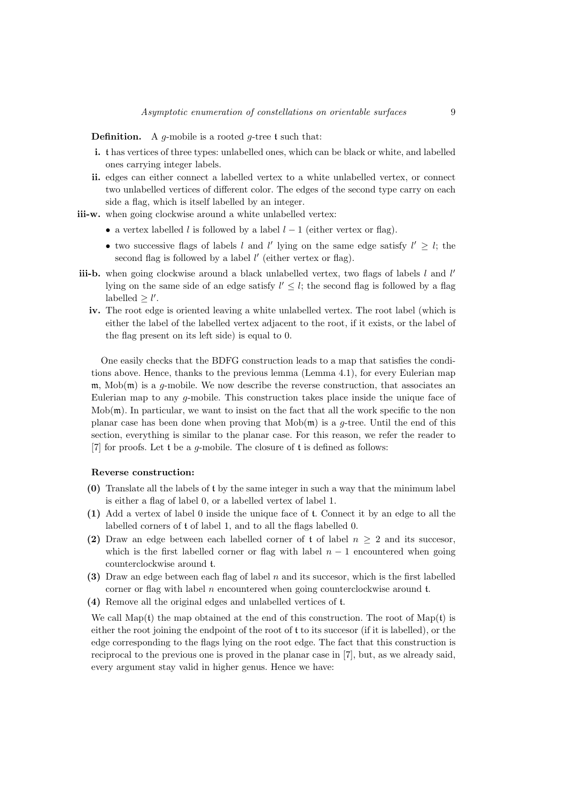**Definition.** A g-mobile is a rooted g-tree t such that:

- i. t has vertices of three types: unlabelled ones, which can be black or white, and labelled ones carrying integer labels.
- ii. edges can either connect a labelled vertex to a white unlabelled vertex, or connect two unlabelled vertices of different color. The edges of the second type carry on each side a flag, which is itself labelled by an integer.

iii-w. when going clockwise around a white unlabelled vertex:

- a vertex labelled l is followed by a label  $l 1$  (either vertex or flag).
- two successive flags of labels l and l' lying on the same edge satisfy  $l' \geq l$ ; the second flag is followed by a label  $l'$  (either vertex or flag).
- iii-b. when going clockwise around a black unlabelled vertex, two flags of labels  $l$  and  $l'$ lying on the same side of an edge satisfy  $l' \leq l$ ; the second flag is followed by a flag labelled  $\geq l'$ .
	- iv. The root edge is oriented leaving a white unlabelled vertex. The root label (which is either the label of the labelled vertex adjacent to the root, if it exists, or the label of the flag present on its left side) is equal to 0.

One easily checks that the BDFG construction leads to a map that satisfies the conditions above. Hence, thanks to the previous lemma (Lemma 4.1), for every Eulerian map  $m$ , Mob $(m)$  is a g-mobile. We now describe the reverse construction, that associates an Eulerian map to any g-mobile. This construction takes place inside the unique face of  $Mob(\mathfrak{m})$ . In particular, we want to insist on the fact that all the work specific to the non planar case has been done when proving that  $\text{Mob}(\mathfrak{m})$  is a q-tree. Until the end of this section, everything is similar to the planar case. For this reason, we refer the reader to [7] for proofs. Let t be a g-mobile. The closure of t is defined as follows:

#### Reverse construction:

- (0) Translate all the labels of t by the same integer in such a way that the minimum label is either a flag of label 0, or a labelled vertex of label 1.
- (1) Add a vertex of label 0 inside the unique face of t. Connect it by an edge to all the labelled corners of t of label 1, and to all the flags labelled 0.
- (2) Draw an edge between each labelled corner of t of label  $n > 2$  and its successor, which is the first labelled corner or flag with label  $n - 1$  encountered when going counterclockwise around t.
- (3) Draw an edge between each flag of label  $n$  and its successor, which is the first labelled corner or flag with label n encountered when going counterclockwise around t.
- (4) Remove all the original edges and unlabelled vertices of t.

We call  $Map(t)$  the map obtained at the end of this construction. The root of  $Map(t)$  is either the root joining the endpoint of the root of t to its succesor (if it is labelled), or the edge corresponding to the flags lying on the root edge. The fact that this construction is reciprocal to the previous one is proved in the planar case in [7], but, as we already said, every argument stay valid in higher genus. Hence we have: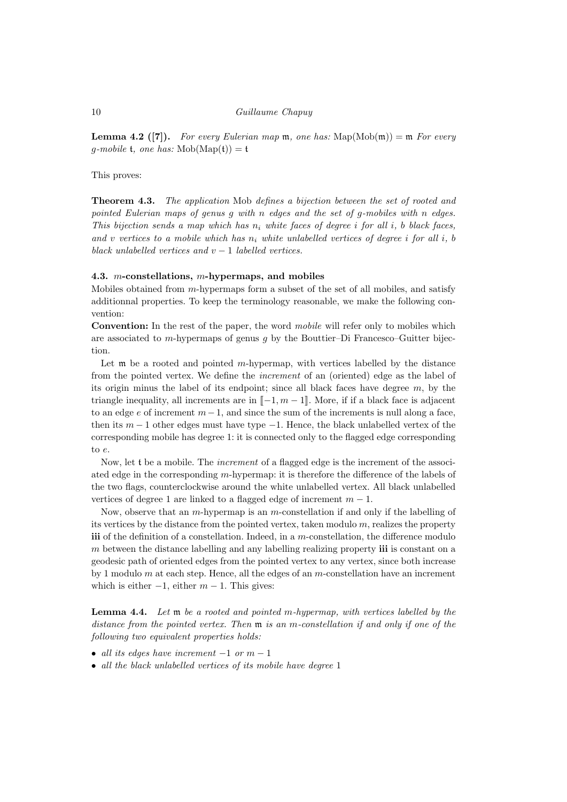**Lemma 4.2 ([7]).** For every Eulerian map  $m$ , one has:  $\text{Map}(\text{Mob}(\mathfrak{m})) = \mathfrak{m}$  For every g-mobile t, one has:  $\text{Mob}(\text{Map}(\mathfrak{t})) = \mathfrak{t}$ 

This proves:

**Theorem 4.3.** The application Mob defines a bijection between the set of rooted and pointed Eulerian maps of genus g with n edges and the set of g-mobiles with n edges. This bijection sends a map which has  $n_i$  white faces of degree i for all i, b black faces, and v vertices to a mobile which has  $n_i$  white unlabelled vertices of degree i for all i, b black unlabelled vertices and  $v - 1$  labelled vertices.

#### 4.3. m-constellations, m-hypermaps, and mobiles

Mobiles obtained from m-hypermaps form a subset of the set of all mobiles, and satisfy additionnal properties. To keep the terminology reasonable, we make the following convention:

Convention: In the rest of the paper, the word *mobile* will refer only to mobiles which are associated to m-hypermaps of genus  $q$  by the Bouttier–Di Francesco–Guitter bijection.

Let  $\mathfrak m$  be a rooted and pointed m-hypermap, with vertices labelled by the distance from the pointed vertex. We define the increment of an (oriented) edge as the label of its origin minus the label of its endpoint; since all black faces have degree  $m$ , by the triangle inequality, all increments are in  $[-1, m-1]$ . More, if if a black face is adjacent to an edge e of increment  $m-1$ , and since the sum of the increments is null along a face, then its  $m-1$  other edges must have type  $-1$ . Hence, the black unlabelled vertex of the corresponding mobile has degree 1: it is connected only to the flagged edge corresponding to e.

Now, let t be a mobile. The increment of a flagged edge is the increment of the associated edge in the corresponding m-hypermap: it is therefore the difference of the labels of the two flags, counterclockwise around the white unlabelled vertex. All black unlabelled vertices of degree 1 are linked to a flagged edge of increment  $m - 1$ .

Now, observe that an m-hypermap is an m-constellation if and only if the labelling of its vertices by the distance from the pointed vertex, taken modulo  $m$ , realizes the property iii of the definition of a constellation. Indeed, in a m-constellation, the difference modulo  $m$  between the distance labelling and any labelling realizing property  $\mathbf{iii}$  is constant on a geodesic path of oriented edges from the pointed vertex to any vertex, since both increase by 1 modulo  $m$  at each step. Hence, all the edges of an  $m$ -constellation have an increment which is either  $-1$ , either  $m-1$ . This gives:

Lemma 4.4. Let m be a rooted and pointed m-hypermap, with vertices labelled by the distance from the pointed vertex. Then m is an m-constellation if and only if one of the following two equivalent properties holds:

- all its edges have increment  $-1$  or  $m-1$
- all the black unlabelled vertices of its mobile have degree 1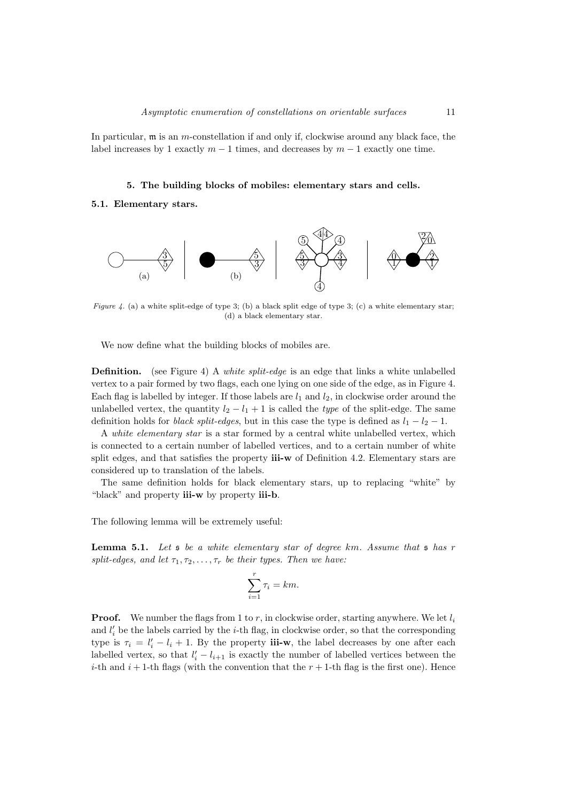In particular, m is an m-constellation if and only if, clockwise around any black face, the label increases by 1 exactly  $m-1$  times, and decreases by  $m-1$  exactly one time.

# 5. The building blocks of mobiles: elementary stars and cells.

### 5.1. Elementary stars.



Figure 4. (a) a white split-edge of type 3; (b) a black split edge of type 3; (c) a white elementary star; (d) a black elementary star.

We now define what the building blocks of mobiles are.

**Definition.** (see Figure 4) A *white split-edge* is an edge that links a white unlabelled vertex to a pair formed by two flags, each one lying on one side of the edge, as in Figure 4. Each flag is labelled by integer. If those labels are  $l_1$  and  $l_2$ , in clockwise order around the unlabelled vertex, the quantity  $l_2 - l_1 + 1$  is called the type of the split-edge. The same definition holds for *black split-edges*, but in this case the type is defined as  $l_1 - l_2 - 1$ .

A white elementary star is a star formed by a central white unlabelled vertex, which is connected to a certain number of labelled vertices, and to a certain number of white split edges, and that satisfies the property  $i$ ii-w of Definition 4.2. Elementary stars are considered up to translation of the labels.

The same definition holds for black elementary stars, up to replacing "white" by "black" and property **iii-w** by property **iii-b**.

The following lemma will be extremely useful:

**Lemma 5.1.** Let  $s$  be a white elementary star of degree km. Assume that  $s$  has r split-edges, and let  $\tau_1, \tau_2, \ldots, \tau_r$  be their types. Then we have:

$$
\sum_{i=1}^{r} \tau_i = km.
$$

**Proof.** We number the flags from 1 to r, in clockwise order, starting anywhere. We let  $l_i$ and  $l_i'$  be the labels carried by the *i*-th flag, in clockwise order, so that the corresponding type is  $\tau_i = l'_i - l_i + 1$ . By the property **iii-w**, the label decreases by one after each labelled vertex, so that  $l'_i - l_{i+1}$  is exactly the number of labelled vertices between the *i*-th and  $i + 1$ -th flags (with the convention that the  $r + 1$ -th flag is the first one). Hence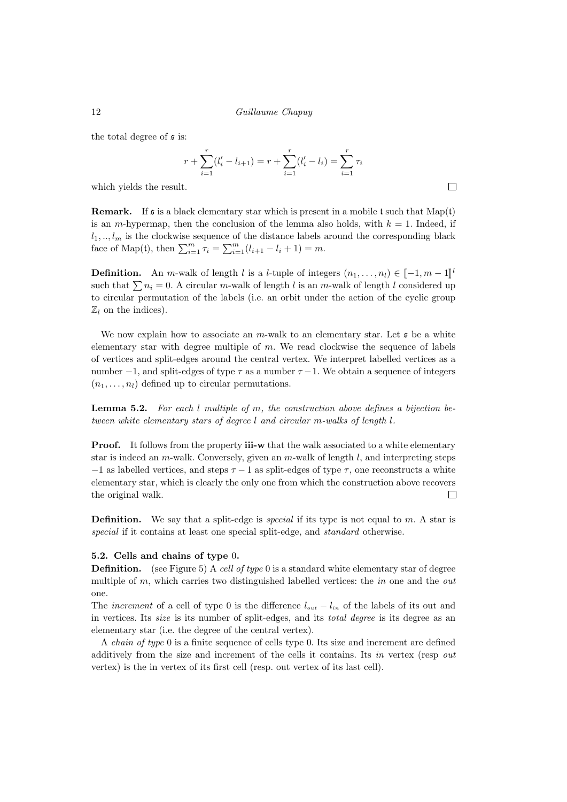the total degree of s is:

$$
r + \sum_{i=1}^{r} (l'_i - l_{i+1}) = r + \sum_{i=1}^{r} (l'_i - l_i) = \sum_{i=1}^{r} \tau_i
$$

 $\Box$ 

which yields the result.

**Remark.** If s is a black elementary star which is present in a mobile t such that  $\text{Map}(\mathfrak{t})$ is an *m*-hypermap, then the conclusion of the lemma also holds, with  $k = 1$ . Indeed, if  $l_1, \ldots, l_m$  is the clockwise sequence of the distance labels around the corresponding black face of Map(t), then  $\sum_{i=1}^{m} \tau_i = \sum_{i=1}^{m} (l_{i+1} - l_i + 1) = m$ .

**Definition.** An m-walk of length l is a l-tuple of integers  $(n_1, \ldots, n_l) \in [-1, m - 1]^l$ <br>and that  $\sum_{n=1}^{\infty} 0$ , A simular m wall of length l is an m wall of langth l samidared up such that  $\sum n_i = 0$ . A circular m-walk of length l is an m-walk of length l considered up to circular permutation of the labels (i.e. an orbit under the action of the cyclic group  $\mathbb{Z}_l$  on the indices).

We now explain how to associate an m-walk to an elementary star. Let  $\mathfrak s$  be a white elementary star with degree multiple of  $m$ . We read clockwise the sequence of labels of vertices and split-edges around the central vertex. We interpret labelled vertices as a number  $-1$ , and split-edges of type  $\tau$  as a number  $\tau -1$ . We obtain a sequence of integers  $(n_1, \ldots, n_l)$  defined up to circular permutations.

**Lemma 5.2.** For each  $l$  multiple of m, the construction above defines a bijection between white elementary stars of degree l and circular m-walks of length l.

**Proof.** It follows from the property **iii-w** that the walk associated to a white elementary star is indeed an m-walk. Conversely, given an m-walk of length  $l$ , and interpreting steps  $-1$  as labelled vertices, and steps  $\tau - 1$  as split-edges of type  $\tau$ , one reconstructs a white elementary star, which is clearly the only one from which the construction above recovers the original walk.  $\Box$ 

**Definition.** We say that a split-edge is *special* if its type is not equal to m. A star is special if it contains at least one special split-edge, and standard otherwise.

# 5.2. Cells and chains of type 0.

**Definition.** (see Figure 5) A cell of type 0 is a standard white elementary star of degree multiple of  $m$ , which carries two distinguished labelled vertices: the  $in$  one and the *out* one.

The *increment* of a cell of type 0 is the difference  $l_{out} - l_{in}$  of the labels of its out and in vertices. Its size is its number of split-edges, and its total degree is its degree as an elementary star (i.e. the degree of the central vertex).

A chain of type 0 is a finite sequence of cells type 0. Its size and increment are defined additively from the size and increment of the cells it contains. Its in vertex (resp out vertex) is the in vertex of its first cell (resp. out vertex of its last cell).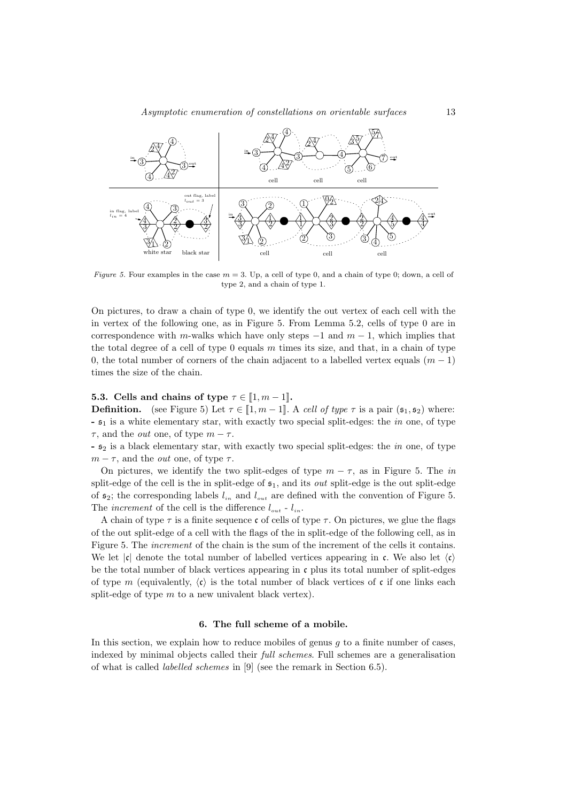

Figure 5. Four examples in the case  $m = 3$ . Up, a cell of type 0, and a chain of type 0; down, a cell of type 2, and a chain of type 1.

On pictures, to draw a chain of type 0, we identify the out vertex of each cell with the in vertex of the following one, as in Figure 5. From Lemma 5.2, cells of type 0 are in correspondence with m-walks which have only steps  $-1$  and  $m-1$ , which implies that the total degree of a cell of type  $0$  equals  $m$  times its size, and that, in a chain of type 0, the total number of corners of the chain adjacent to a labelled vertex equals  $(m - 1)$ times the size of the chain.

## **5.3.** Cells and chains of type  $\tau \in [1, m-1]$ .

**Definition.** (see Figure 5) Let  $\tau \in [1, m-1]$ . A cell of type  $\tau$  is a pair  $(\mathfrak{s}_1, \mathfrak{s}_2)$  where:  $-5<sub>1</sub>$  is a white elementary star, with exactly two special split-edges: the *in* one, of type  $\tau$ , and the *out* one, of type  $m - \tau$ .

 $\mathfrak{s}_2$  is a black elementary star, with exactly two special split-edges: the *in* one, of type  $m - \tau$ , and the *out* one, of type  $\tau$ .

On pictures, we identify the two split-edges of type  $m - \tau$ , as in Figure 5. The in split-edge of the cell is the in split-edge of  $s<sub>1</sub>$ , and its *out* split-edge is the out split-edge of  $\mathfrak{s}_2$ ; the corresponding labels  $l_{in}$  and  $l_{out}$  are defined with the convention of Figure 5. The *increment* of the cell is the difference  $l_{out}$  -  $l_{in}$ .

A chain of type  $\tau$  is a finite sequence c of cells of type  $\tau$ . On pictures, we glue the flags of the out split-edge of a cell with the flags of the in split-edge of the following cell, as in Figure 5. The increment of the chain is the sum of the increment of the cells it contains. We let  $|\mathfrak{c}|$  denote the total number of labelled vertices appearing in c. We also let  $\langle \mathfrak{c} \rangle$ be the total number of black vertices appearing in  $\mathfrak c$  plus its total number of split-edges of type m (equivalently,  $\langle \mathbf{c} \rangle$  is the total number of black vertices of c if one links each split-edge of type  $m$  to a new univalent black vertex).

# 6. The full scheme of a mobile.

In this section, we explain how to reduce mobiles of genus  $q$  to a finite number of cases, indexed by minimal objects called their full schemes. Full schemes are a generalisation of what is called labelled schemes in [9] (see the remark in Section 6.5).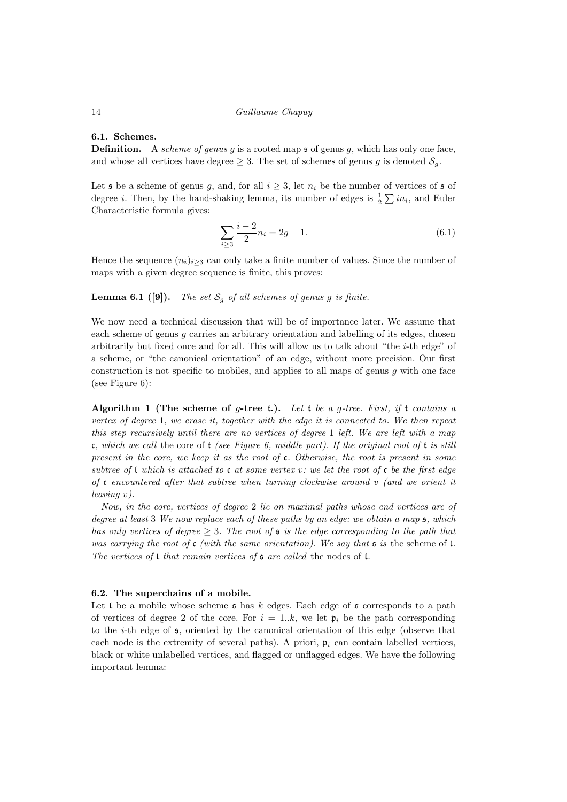# 6.1. Schemes.

**Definition.** A scheme of genus g is a rooted map  $\mathfrak s$  of genus g, which has only one face, and whose all vertices have degree  $\geq 3$ . The set of schemes of genus g is denoted  $S_q$ .

Let  $\mathfrak s$  be a scheme of genus g, and, for all  $i \geq 3$ , let  $n_i$  be the number of vertices of  $\mathfrak s$  of degree *i*. Then, by the hand-shaking lemma, its number of edges is  $\frac{1}{2} \sum in_i$ , and Euler Characteristic formula gives:

$$
\sum_{i\geq 3} \frac{i-2}{2} n_i = 2g - 1. \tag{6.1}
$$

Hence the sequence  $(n_i)_{i>3}$  can only take a finite number of values. Since the number of maps with a given degree sequence is finite, this proves:

# **Lemma 6.1** ([9]). The set  $S_q$  of all schemes of genus g is finite.

We now need a technical discussion that will be of importance later. We assume that each scheme of genus g carries an arbitrary orientation and labelling of its edges, chosen arbitrarily but fixed once and for all. This will allow us to talk about "the i-th edge" of a scheme, or "the canonical orientation" of an edge, without more precision. Our first construction is not specific to mobiles, and applies to all maps of genus  $q$  with one face (see Figure 6):

Algorithm 1 (The scheme of g-tree t.). Let t be a g-tree. First, if t contains a vertex of degree 1, we erase it, together with the edge it is connected to. We then repeat this step recursively until there are no vertices of degree 1 left. We are left with a map c, which we call the core of  $t$  (see Figure 6, middle part). If the original root of  $t$  is still present in the core, we keep it as the root of  $c$ . Otherwise, the root is present in some subtree of t which is attached to c at some vertex v: we let the root of c be the first edge of c encountered after that subtree when turning clockwise around  $v$  (and we orient it leaving v).

Now, in the core, vertices of degree 2 lie on maximal paths whose end vertices are of degree at least 3 We now replace each of these paths by an edge: we obtain a map  $\mathfrak{s}$ , which has only vertices of degree  $> 3$ . The root of  $\mathfrak s$  is the edge corresponding to the path that was carrying the root of c (with the same orientation). We say that  $\mathfrak s$  is the scheme of  $\mathfrak t$ . The vertices of  $t$  that remain vertices of  $s$  are called the nodes of  $t$ .

#### 6.2. The superchains of a mobile.

Let t be a mobile whose scheme  $\mathfrak s$  has k edges. Each edge of  $\mathfrak s$  corresponds to a path of vertices of degree 2 of the core. For  $i = 1..k$ , we let  $\mathfrak{p}_i$  be the path corresponding to the i-th edge of s, oriented by the canonical orientation of this edge (observe that each node is the extremity of several paths). A priori,  $\mathfrak{p}_i$  can contain labelled vertices, black or white unlabelled vertices, and flagged or unflagged edges. We have the following important lemma: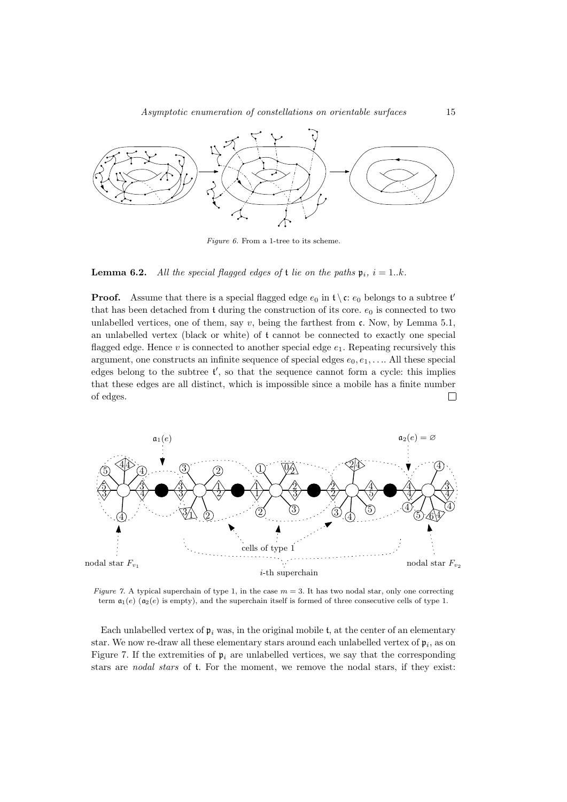

Figure 6. From a 1-tree to its scheme.

**Lemma 6.2.** All the special flagged edges of **t** lie on the paths  $\mathfrak{p}_i$ ,  $i = 1..k$ .

**Proof.** Assume that there is a special flagged edge  $e_0$  in  $\mathfrak{t} \setminus \mathfrak{c}$ :  $e_0$  belongs to a subtree t' that has been detached from t during the construction of its core.  $e_0$  is connected to two unlabelled vertices, one of them, say  $v$ , being the farthest from  $\mathfrak{c}$ . Now, by Lemma 5.1, an unlabelled vertex (black or white) of t cannot be connected to exactly one special flagged edge. Hence v is connected to another special edge  $e_1$ . Repeating recursively this argument, one constructs an infinite sequence of special edges  $e_0, e_1, \ldots$ . All these special edges belong to the subtree  $t'$ , so that the sequence cannot form a cycle: this implies that these edges are all distinct, which is impossible since a mobile has a finite number of edges.  $\Box$ 



Figure 7. A typical superchain of type 1, in the case  $m = 3$ . It has two nodal star, only one correcting term  $a_1(e)$  ( $a_2(e)$  is empty), and the superchain itself is formed of three consecutive cells of type 1.

Each unlabelled vertex of  $\mathfrak{p}_i$  was, in the original mobile t, at the center of an elementary star. We now re-draw all these elementary stars around each unlabelled vertex of  $\mathfrak{p}_i$ , as on Figure 7. If the extremities of  $\mathfrak{p}_i$  are unlabelled vertices, we say that the corresponding stars are nodal stars of t. For the moment, we remove the nodal stars, if they exist: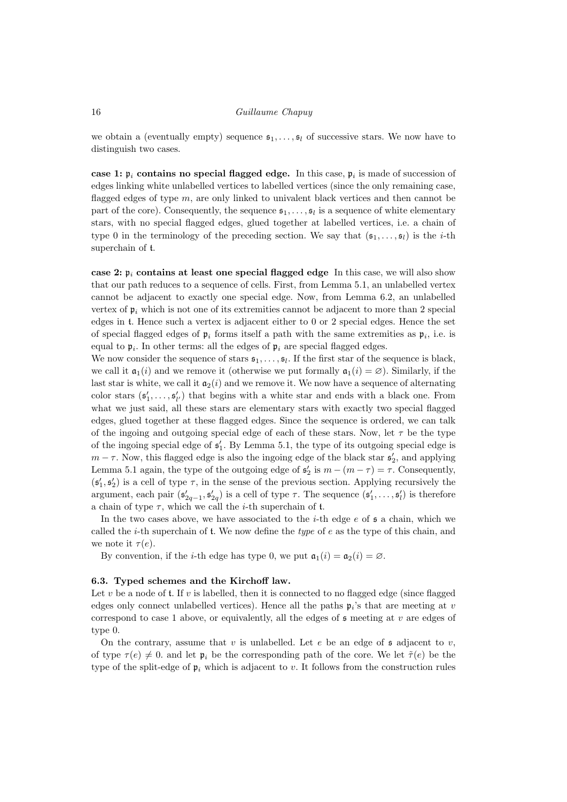we obtain a (eventually empty) sequence  $\mathfrak{s}_1, \ldots, \mathfrak{s}_l$  of successive stars. We now have to distinguish two cases.

case 1:  $\mathfrak{p}_i$  contains no special flagged edge. In this case,  $\mathfrak{p}_i$  is made of succession of edges linking white unlabelled vertices to labelled vertices (since the only remaining case, flagged edges of type m, are only linked to univalent black vertices and then cannot be part of the core). Consequently, the sequence  $s_1, \ldots, s_l$  is a sequence of white elementary stars, with no special flagged edges, glued together at labelled vertices, i.e. a chain of type 0 in the terminology of the preceding section. We say that  $(\mathfrak{s}_1, \ldots, \mathfrak{s}_l)$  is the *i*-th superchain of t.

case 2:  $\mathfrak{p}_i$  contains at least one special flagged edge In this case, we will also show that our path reduces to a sequence of cells. First, from Lemma 5.1, an unlabelled vertex cannot be adjacent to exactly one special edge. Now, from Lemma 6.2, an unlabelled vertex of  $\mathfrak{p}_i$  which is not one of its extremities cannot be adjacent to more than 2 special edges in t. Hence such a vertex is adjacent either to 0 or 2 special edges. Hence the set of special flagged edges of  $\mathfrak{p}_i$  forms itself a path with the same extremities as  $\mathfrak{p}_i$ , i.e. is equal to  $\mathfrak{p}_i$ . In other terms: all the edges of  $\mathfrak{p}_i$  are special flagged edges.

We now consider the sequence of stars  $\mathfrak{s}_1, \ldots, \mathfrak{s}_l$ . If the first star of the sequence is black, we call it  $\mathfrak{a}_1(i)$  and we remove it (otherwise we put formally  $\mathfrak{a}_1(i) = \emptyset$ ). Similarly, if the last star is white, we call it  $a_2(i)$  and we remove it. We now have a sequence of alternating color stars  $(\mathfrak{s}'_1, \ldots, \mathfrak{s}'_{l'})$  that begins with a white star and ends with a black one. From what we just said, all these stars are elementary stars with exactly two special flagged edges, glued together at these flagged edges. Since the sequence is ordered, we can talk of the ingoing and outgoing special edge of each of these stars. Now, let  $\tau$  be the type of the ingoing special edge of  $\mathfrak{s}'_1$ . By Lemma 5.1, the type of its outgoing special edge is  $m - \tau$ . Now, this flagged edge is also the ingoing edge of the black star  $\mathfrak{s}'_2$ , and applying Lemma 5.1 again, the type of the outgoing edge of  $\mathfrak{s}'_2$  is  $m - (m - \tau) = \tau$ . Consequently,  $(\mathfrak{s}'_1, \mathfrak{s}'_2)$  is a cell of type  $\tau$ , in the sense of the previous section. Applying recursively the argument, each pair  $(\mathfrak{s}'_{2q-1}, \mathfrak{s}'_{2q})$  is a cell of type  $\tau$ . The sequence  $(\mathfrak{s}'_1, \ldots, \mathfrak{s}'_l)$  is therefore a chain of type  $\tau$ , which we call the *i*-th superchain of **t**.

In the two cases above, we have associated to the *i*-th edge  $e$  of  $\mathfrak s$  a chain, which we called the *i*-th superchain of **t**. We now define the *type* of *e* as the type of this chain, and we note it  $\tau(e)$ .

By convention, if the *i*-th edge has type 0, we put  $a_1(i) = a_2(i) = \emptyset$ .

#### 6.3. Typed schemes and the Kirchoff law.

Let v be a node of t. If v is labelled, then it is connected to no flagged edge (since flagged edges only connect unlabelled vertices). Hence all the paths  $\mathfrak{p}_i$ 's that are meeting at v correspond to case 1 above, or equivalently, all the edges of  $\mathfrak s$  meeting at v are edges of type 0.

On the contrary, assume that v is unlabelled. Let e be an edge of  $\mathfrak s$  adjacent to v, of type  $\tau(e) \neq 0$ , and let  $\mathfrak{p}_i$  be the corresponding path of the core. We let  $\tilde{\tau}(e)$  be the type of the split-edge of  $\mathfrak{p}_i$  which is adjacent to v. It follows from the construction rules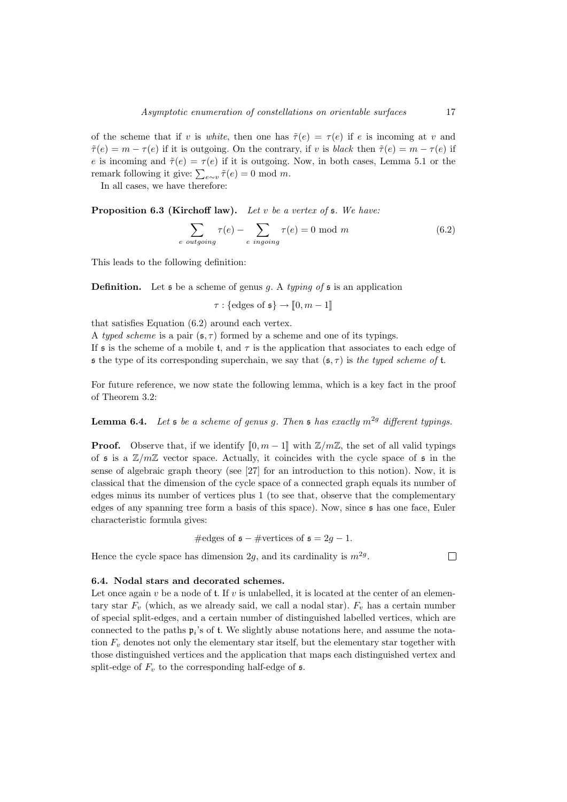of the scheme that if v is white, then one has  $\tilde{\tau}(e) = \tau(e)$  if e is incoming at v and  $\tilde{\tau}(e) = m - \tau(e)$  if it is outgoing. On the contrary, if v is black then  $\tilde{\tau}(e) = m - \tau(e)$  if e is incoming and  $\tilde{\tau}(e) = \tau(e)$  if it is outgoing. Now, in both cases, Lemma 5.1 or the remark following it give:  $\sum_{e \sim v} \tilde{\tau}(e) = 0 \text{ mod } m$ .

In all cases, we have therefore:

**Proposition 6.3 (Kirchoff law).** Let v be a vertex of  $\mathfrak s$ . We have:

$$
\sum_{e \text{ outgoing}} \tau(e) - \sum_{e \text{ingoing}} \tau(e) = 0 \text{ mod } m \tag{6.2}
$$

This leads to the following definition:

**Definition.** Let  $\mathfrak s$  be a scheme of genus g. A typing of  $\mathfrak s$  is an application

 $\tau : \{\text{edges of } \mathfrak{s}\} \to [\![0,m-1]\!]$ 

that satisfies Equation (6.2) around each vertex.

A typed scheme is a pair  $(\mathfrak{s}, \tau)$  formed by a scheme and one of its typings.

If  $\mathfrak s$  is the scheme of a mobile t, and  $\tau$  is the application that associates to each edge of s the type of its corresponding superchain, we say that  $(s, \tau)$  is the typed scheme of t.

For future reference, we now state the following lemma, which is a key fact in the proof of Theorem 3.2:

**Lemma 6.4.** Let  $\mathfrak s$  be a scheme of genus g. Then  $\mathfrak s$  has exactly  $m^{2g}$  different typings.

**Proof.** Observe that, if we identify  $[0, m-1]$  with  $\mathbb{Z}/m\mathbb{Z}$ , the set of all valid typings of  $\mathfrak s$  is a  $\mathbb Z/m\mathbb Z$  vector space. Actually, it coincides with the cycle space of  $\mathfrak s$  in the sense of algebraic graph theory (see [27] for an introduction to this notion). Now, it is classical that the dimension of the cycle space of a connected graph equals its number of edges minus its number of vertices plus 1 (to see that, observe that the complementary edges of any spanning tree form a basis of this space). Now, since s has one face, Euler characteristic formula gives:

#edges of 
$$
\mathfrak{s} - \mathfrak{H}
$$
 vertices of  $\mathfrak{s} = 2g - 1$ .

Hence the cycle space has dimension 2g, and its cardinality is  $m^{2g}$ .

 $\Box$ 

# 6.4. Nodal stars and decorated schemes.

Let once again  $v$  be a node of t. If  $v$  is unlabelled, it is located at the center of an elementary star  $F_v$  (which, as we already said, we call a nodal star).  $F_v$  has a certain number of special split-edges, and a certain number of distinguished labelled vertices, which are connected to the paths  $\mathfrak{p}_i$ 's of t. We slightly abuse notations here, and assume the notation  $F_v$  denotes not only the elementary star itself, but the elementary star together with those distinguished vertices and the application that maps each distinguished vertex and split-edge of  $F_v$  to the corresponding half-edge of  $\mathfrak s$ .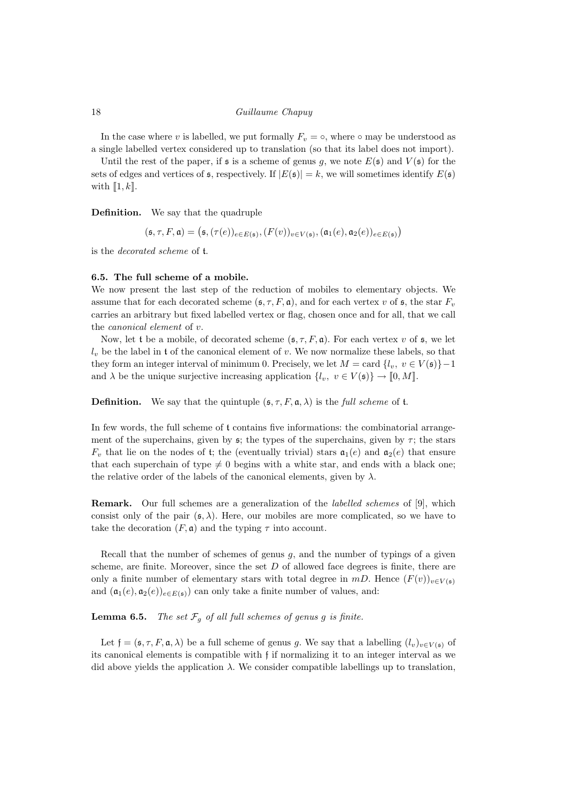In the case where v is labelled, we put formally  $F_v = \circ$ , where  $\circ$  may be understood as a single labelled vertex considered up to translation (so that its label does not import).

Until the rest of the paper, if  $\mathfrak s$  is a scheme of genus g, we note  $E(\mathfrak s)$  and  $V(\mathfrak s)$  for the sets of edges and vertices of  $\mathfrak{s}$ , respectively. If  $|E(\mathfrak{s})| = k$ , we will sometimes identify  $E(\mathfrak{s})$ with  $\llbracket 1, k \rrbracket$ .

Definition. We say that the quadruple

 $(\mathfrak{s}, \tau, F, \mathfrak{a}) = (\mathfrak{s}, (\tau(e))_{e \in E(\mathfrak{s})}, (F(v))_{v \in V(\mathfrak{s})}, (\mathfrak{a}_1(e), \mathfrak{a}_2(e))_{e \in E(\mathfrak{s})})$ 

is the decorated scheme of t.

#### 6.5. The full scheme of a mobile.

We now present the last step of the reduction of mobiles to elementary objects. We assume that for each decorated scheme  $(\mathfrak{s}, \tau, F, \mathfrak{a})$ , and for each vertex v of  $\mathfrak{s}$ , the star  $F_v$ carries an arbitrary but fixed labelled vertex or flag, chosen once and for all, that we call the canonical element of v.

Now, let t be a mobile, of decorated scheme  $(\mathfrak{s}, \tau, F, \mathfrak{a})$ . For each vertex v of  $\mathfrak{s}$ , we let  $l_v$  be the label in t of the canonical element of v. We now normalize these labels, so that they form an integer interval of minimum 0. Precisely, we let  $M = \text{card } \{l_v, v \in V(\mathfrak{s})\} - 1$ and  $\lambda$  be the unique surjective increasing application  $\{l_v, v \in V(\mathfrak{s})\} \to [0, M]$ .

**Definition.** We say that the quintuple  $(\mathfrak{s}, \tau, F, \mathfrak{a}, \lambda)$  is the full scheme of t.

In few words, the full scheme of t contains five informations: the combinatorial arrangement of the superchains, given by  $\mathfrak{s}$ ; the types of the superchains, given by  $\tau$ ; the stars  $F_v$  that lie on the nodes of t; the (eventually trivial) stars  $a_1(e)$  and  $a_2(e)$  that ensure that each superchain of type  $\neq 0$  begins with a white star, and ends with a black one; the relative order of the labels of the canonical elements, given by  $\lambda$ .

Remark. Our full schemes are a generalization of the labelled schemes of [9], which consist only of the pair  $(\mathfrak{s}, \lambda)$ . Here, our mobiles are more complicated, so we have to take the decoration  $(F, \mathfrak{a})$  and the typing  $\tau$  into account.

Recall that the number of schemes of genus  $q$ , and the number of typings of a given scheme, are finite. Moreover, since the set  $D$  of allowed face degrees is finite, there are only a finite number of elementary stars with total degree in mD. Hence  $(F(v))_{v\in V(s)}$ and  $(\mathfrak{a}_1(e), \mathfrak{a}_2(e))_{e \in E(\mathfrak{s})}$  can only take a finite number of values, and:

**Lemma 6.5.** The set  $\mathcal{F}_q$  of all full schemes of genus g is finite.

Let  $f = (\mathfrak{s}, \tau, F, \mathfrak{a}, \lambda)$  be a full scheme of genus g. We say that a labelling  $(l_v)_{v \in V(\mathfrak{s})}$  of its canonical elements is compatible with f if normalizing it to an integer interval as we did above yields the application  $\lambda$ . We consider compatible labellings up to translation,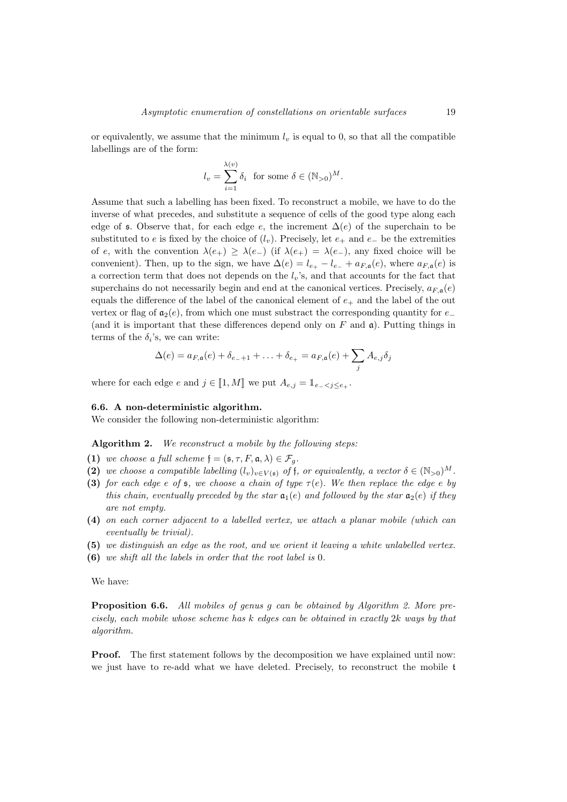or equivalently, we assume that the minimum  $l_v$  is equal to 0, so that all the compatible labellings are of the form:

$$
l_v = \sum_{i=1}^{\lambda(v)} \delta_i \text{ for some } \delta \in (\mathbb{N}_{>0})^M.
$$

Assume that such a labelling has been fixed. To reconstruct a mobile, we have to do the inverse of what precedes, and substitute a sequence of cells of the good type along each edge of s. Observe that, for each edge e, the increment  $\Delta(e)$  of the superchain to be substituted to e is fixed by the choice of  $(l_v)$ . Precisely, let  $e_+$  and  $e_-$  be the extremities of e, with the convention  $\lambda(e_+) \geq \lambda(e_-)$  (if  $\lambda(e_+) = \lambda(e_-)$ , any fixed choice will be convenient). Then, up to the sign, we have  $\Delta(e) = l_{e_+} - l_{e_-} + a_{F,\mathfrak{a}}(e)$ , where  $a_{F,\mathfrak{a}}(e)$  is a correction term that does not depends on the  $l_v$ 's, and that accounts for the fact that superchains do not necessarily begin and end at the canonical vertices. Precisely,  $a_{F,a}(e)$ equals the difference of the label of the canonical element of  $e_+$  and the label of the out vertex or flag of  $a_2(e)$ , from which one must substract the corresponding quantity for  $e_$ (and it is important that these differences depend only on  $F$  and  $\mathfrak{a}$ ). Putting things in terms of the  $\delta_i$ 's, we can write:

$$
\Delta(e) = a_{F,\mathfrak{a}}(e) + \delta_{e_{-}+1} + \ldots + \delta_{e_{+}} = a_{F,\mathfrak{a}}(e) + \sum_{j} A_{e,j} \delta_{j}
$$

where for each edge e and  $j \in [1, M]$  we put  $A_{e,j} = \mathbb{1}_{e_{-} < j < e_{+}}$ .

#### 6.6. A non-deterministic algorithm.

We consider the following non-deterministic algorithm:

Algorithm 2. We reconstruct a mobile by the following steps:

- (1) we choose a full scheme  $\mathfrak{f} = (\mathfrak{s}, \tau, F, \mathfrak{a}, \lambda) \in \mathcal{F}_q$ .
- (2) we choose a compatible labelling  $(l_v)_{v \in V(\mathfrak{s})}$  of f, or equivalently, a vector  $\delta \in (\mathbb{N}_{>0})^M$ .
- (3) for each edge e of  $\mathfrak s$ , we choose a chain of type  $\tau(e)$ . We then replace the edge e by this chain, eventually preceded by the star  $a_1(e)$  and followed by the star  $a_2(e)$  if they are not empty.
- (4) on each corner adjacent to a labelled vertex, we attach a planar mobile (which can eventually be trivial).
- (5) we distinguish an edge as the root, and we orient it leaving a white unlabelled vertex.
- (6) we shift all the labels in order that the root label is 0.

We have:

**Proposition 6.6.** All mobiles of genus g can be obtained by Algorithm 2. More precisely, each mobile whose scheme has  $k$  edges can be obtained in exactly  $2k$  ways by that algorithm.

Proof. The first statement follows by the decomposition we have explained until now: we just have to re-add what we have deleted. Precisely, to reconstruct the mobile t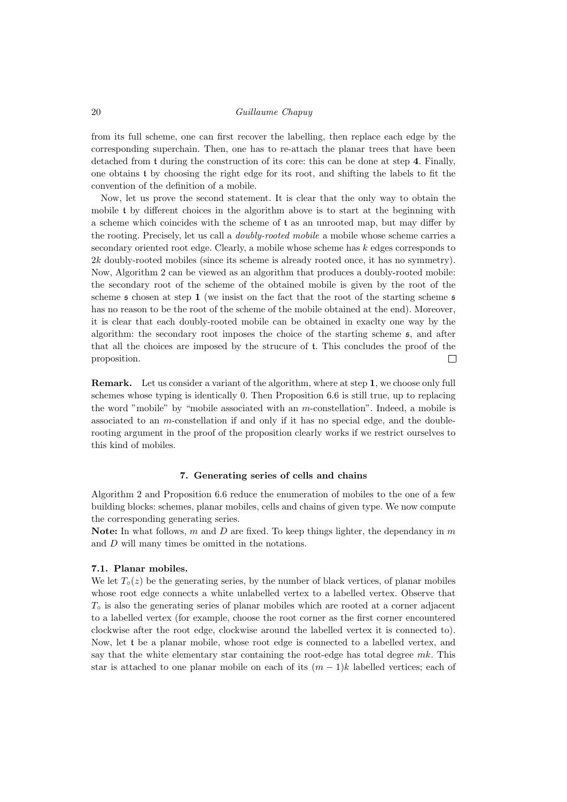from its full scheme, one can first recover the labelling, then replace each edge by the corresponding superchain. Then, one has to re-attach the planar trees that have been detached from t during the construction of its core: this can be done at step 4. Finally, one obtains t by choosing the right edge for its root, and shifting the labels to fit the convention of the definition of a mobile.

Now, let us prove the second statement. It is clear that the only way to obtain the mobile t by different choices in the algorithm above is to start at the beginning with a scheme which coincides with the scheme of t as an unrooted map, but may differ by the rooting. Precisely, let us call a doubly-rooted mobile a mobile whose scheme carries a secondary oriented root edge. Clearly, a mobile whose scheme has k edges corresponds to 2k doubly-rooted mobiles (since its scheme is already rooted once, it has no symmetry). Now, Algorithm 2 can be viewed as an algorithm that produces a doubly-rooted mobile: the secondary root of the scheme of the obtained mobile is given by the root of the scheme  $\epsilon$  chosen at step 1 (we insist on the fact that the root of the starting scheme  $\epsilon$ has no reason to be the root of the scheme of the mobile obtained at the end). Moreover, it is clear that each doubly-rooted mobile can be obtained in exaclty one way by the algorithm: the secondary root imposes the choice of the starting scheme s, and after that all the choices are imposed by the strucure of t. This concludes the proof of the proposition.  $\Box$ 

Remark. Let us consider a variant of the algorithm, where at step 1, we choose only full schemes whose typing is identically 0. Then Proposition 6.6 is still true, up to replacing the word "mobile" by "mobile associated with an m-constellation". Indeed, a mobile is associated to an m-constellation if and only if it has no special edge, and the doublerooting argument in the proof of the proposition clearly works if we restrict ourselves to this kind of mobiles.

# 7. Generating series of cells and chains

Algorithm 2 and Proposition 6.6 reduce the enumeration of mobiles to the one of a few building blocks: schemes, planar mobiles, cells and chains of given type. We now compute the corresponding generating series.

**Note:** In what follows, m and D are fixed. To keep things lighter, the dependancy in m and D will many times be omitted in the notations.

#### 7.1. Planar mobiles.

We let  $T<sub>°</sub>(z)$  be the generating series, by the number of black vertices, of planar mobiles whose root edge connects a white unlabelled vertex to a labelled vertex. Observe that  $T<sub>o</sub>$  is also the generating series of planar mobiles which are rooted at a corner adjacent to a labelled vertex (for example, choose the root corner as the first corner encountered clockwise after the root edge, clockwise around the labelled vertex it is connected to). Now, let t be a planar mobile, whose root edge is connected to a labelled vertex, and say that the white elementary star containing the root-edge has total degree  $mk$ . This star is attached to one planar mobile on each of its  $(m-1)k$  labelled vertices; each of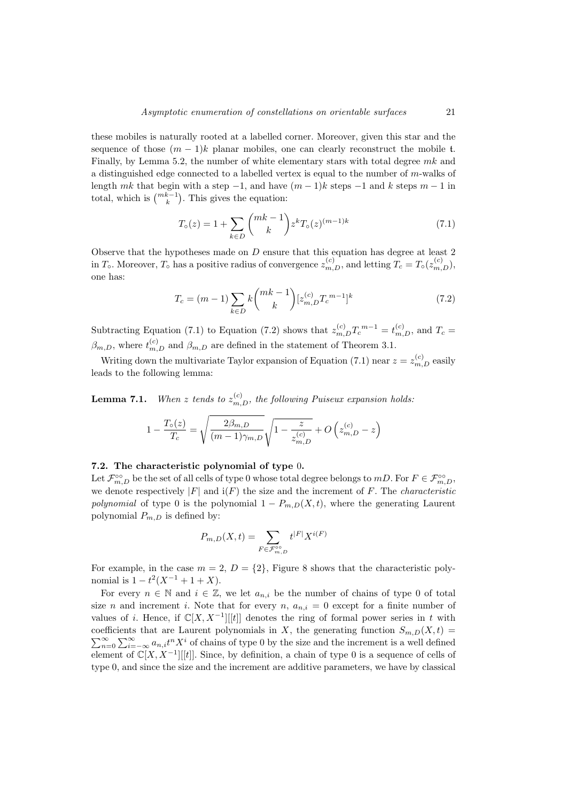these mobiles is naturally rooted at a labelled corner. Moreover, given this star and the sequence of those  $(m-1)k$  planar mobiles, one can clearly reconstruct the mobile t. Finally, by Lemma 5.2, the number of white elementary stars with total degree  $mk$  and a distinguished edge connected to a labelled vertex is equal to the number of  $m$ -walks of length mk that begin with a step  $-1$ , and have  $(m-1)k$  steps  $-1$  and k steps  $m-1$  in total, which is  $\binom{mk-1}{k}$ . This gives the equation:

$$
T_o(z) = 1 + \sum_{k \in D} \binom{mk-1}{k} z^k T_o(z)^{(m-1)k} \tag{7.1}
$$

Observe that the hypotheses made on D ensure that this equation has degree at least 2 in  $T_o$ . Moreover,  $T_o$  has a positive radius of convergence  $z_{m,D}^{(c)}$ , and letting  $T_c = T_o(z_{m,D}^{(c)})$ , one has:

$$
T_c = (m-1) \sum_{k \in D} k \binom{mk-1}{k} [z_{m,D}^{(c)} T_c^{(m-1)}]^k
$$
\n(7.2)

Subtracting Equation (7.1) to Equation (7.2) shows that  $z_{m,D}^{(c)}T_c^{m-1} = t_{m,D}^{(c)}$ , and  $T_c$  $\beta_{m,D}$ , where  $t_{m,D}^{(c)}$  and  $\beta_{m,D}$  are defined in the statement of Theorem 3.1.

Writing down the multivariate Taylor expansion of Equation (7.1) near  $z = z_{m,D}^{(c)}$  easily leads to the following lemma:

**Lemma 7.1.** When z tends to  $z_{m,D}^{(c)}$ , the following Puiseux expansion holds:

$$
1 - \frac{T_o(z)}{T_c} = \sqrt{\frac{2\beta_{m,D}}{(m-1)\gamma_{m,D}}} \sqrt{1 - \frac{z}{z_{m,D}^{(c)}}} + O\left(z_{m,D}^{(c)} - z\right)
$$

# 7.2. The characteristic polynomial of type 0.

Let  $\mathcal{F}_{m,D}^{\infty}$  be the set of all cells of type 0 whose total degree belongs to  $mD$ . For  $F \in \mathcal{F}_{m,D}^{\infty}$ , we denote respectively  $|F|$  and  $i(F)$  the size and the increment of F. The *characteristic* polynomial of type 0 is the polynomial  $1 - P_{m,D}(X,t)$ , where the generating Laurent polynomial  $P_{m,D}$  is defined by:

$$
P_{m,D}(X,t) = \sum_{F \in \mathcal{F}_{m,D}^{\circ\circ}} t^{|F|} X^{i(F)}
$$

For example, in the case  $m = 2$ ,  $D = \{2\}$ , Figure 8 shows that the characteristic polynomial is  $1 - t^2(X^{-1} + 1 + X)$ .

For every  $n \in \mathbb{N}$  and  $i \in \mathbb{Z}$ , we let  $a_{n,i}$  be the number of chains of type 0 of total size n and increment i. Note that for every n,  $a_{n,i} = 0$  except for a finite number of values of i. Hence, if  $\mathbb{C}[X, X^{-1}][[t]]$  denotes the ring of formal power series in t with coefficients that are Laurent polynomials in X, the generating function  $S_{m,D}(X,t)$  =  $\sum_{n=0}^{\infty}\sum_{i=-\infty}^{\infty}a_{n,i}t^nX^i$  of chains of type 0 by the size and the increment is a well defined element of  $\mathbb{C}[X, X^{-1}][[t]]$ . Since, by definition, a chain of type 0 is a sequence of cells of type 0, and since the size and the increment are additive parameters, we have by classical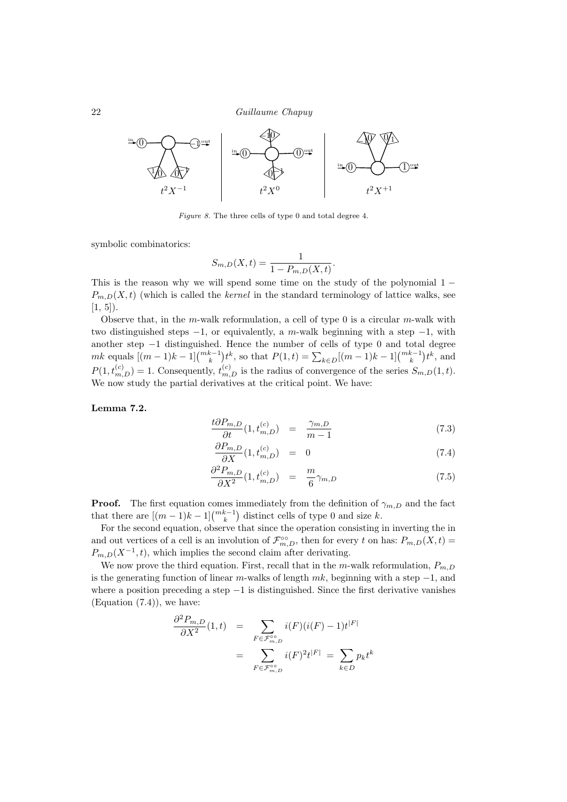

Figure 8. The three cells of type 0 and total degree 4.

symbolic combinatorics:

$$
S_{m,D}(X,t) = \frac{1}{1 - P_{m,D}(X,t)}.
$$

This is the reason why we will spend some time on the study of the polynomial  $1 P_{m,D}(X,t)$  (which is called the kernel in the standard terminology of lattice walks, see  $[1, 5]$ .

Observe that, in the m-walk reformulation, a cell of type  $0$  is a circular m-walk with two distinguished steps  $-1$ , or equivalently, a m-walk beginning with a step  $-1$ , with another step −1 distinguished. Hence the number of cells of type 0 and total degree  $mk$  equals  $[(m-1)k-1] \binom{mk-1}{k} t^k$ , so that  $P(1,t) = \sum_{k \in D} [(m-1)k-1] \binom{mk-1}{k} t^k$ , and  $P(1, t_{m,D}^{(c)}) = 1$ . Consequently,  $t_{m,D}^{(c)}$  is the radius of convergence of the series  $S_{m,D}(1,t)$ . We now study the partial derivatives at the critical point. We have:

Lemma 7.2.

$$
\frac{t\partial P_{m,D}}{\partial t}(1,t_{m,D}^{(c)}) = \frac{\gamma_{m,D}}{m-1} \tag{7.3}
$$

$$
\frac{\partial P_{m,D}}{\partial X}(1, t_{m,D}^{(c)}) = 0 \tag{7.4}
$$

$$
\frac{\partial^2 P_{m,D}}{\partial X^2} (1, t_{m,D}^{(c)}) = \frac{m}{6} \gamma_{m,D} \tag{7.5}
$$

**Proof.** The first equation comes immediately from the definition of  $\gamma_{m,D}$  and the fact that there are  $[(m-1)k-1]_{k}^{m-k-1}$  distinct cells of type 0 and size k.

For the second equation, observe that since the operation consisting in inverting the in and out vertices of a cell is an involution of  $\mathcal{F}_{m,D}^{\infty}$ , then for every t on has:  $P_{m,D}(X,t) =$  $P_{m,D}(X^{-1},t)$ , which implies the second claim after derivating.

We now prove the third equation. First, recall that in the m-walk reformulation,  $P_{m,D}$ is the generating function of linear m-walks of length  $mk$ , beginning with a step  $-1$ , and where a position preceding a step  $-1$  is distinguished. Since the first derivative vanishes (Equation (7.4)), we have:

$$
\frac{\partial^2 P_{m,D}}{\partial X^2}(1,t) = \sum_{F \in \mathcal{F}_{m,D}^{\circ \circ}} i(F)(i(F) - 1)t^{|F|}
$$

$$
= \sum_{F \in \mathcal{F}_{m,D}^{\circ \circ}} i(F)^2 t^{|F|} = \sum_{k \in D} p_k t^k
$$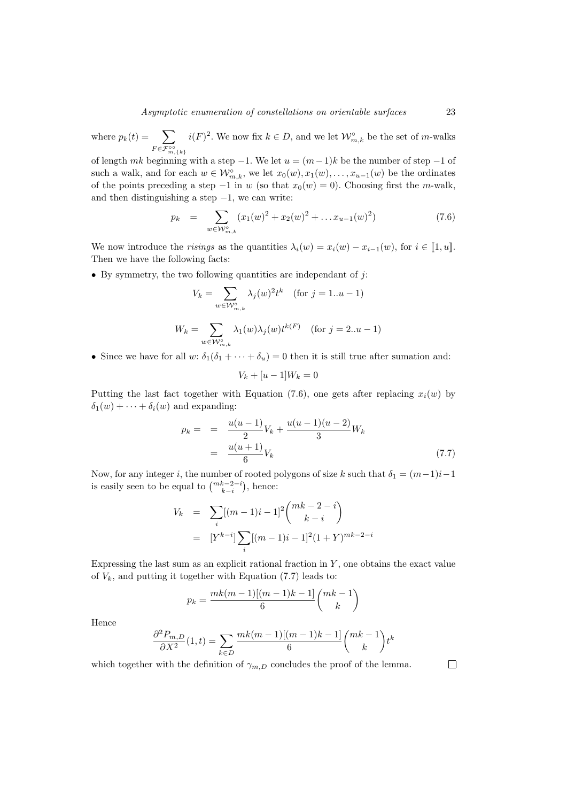where  $p_k(t) = \sum$  $F \in \mathcal{F}_{m,\{k\}}^{\circ\circ}$  $i(F)^2$ . We now fix  $k \in D$ , and we let  $\mathcal{W}_{m,k}^{\circ}$  be the set of m-walks

of length mk beginning with a step  $-1$ . We let  $u = (m-1)k$  be the number of step  $-1$  of such a walk, and for each  $w \in \mathcal{W}_{m,k}^{\circ}$ , we let  $x_0(w), x_1(w), \ldots, x_{u-1}(w)$  be the ordinates of the points preceding a step  $-1$  in w (so that  $x_0(w) = 0$ ). Choosing first the m-walk, and then distinguishing a step  $-1$ , we can write:

$$
p_k = \sum_{w \in \mathcal{W}_{m,k}^{\circ}} (x_1(w)^2 + x_2(w)^2 + \dots x_{u-1}(w)^2)
$$
 (7.6)

We now introduce the *risings* as the quantities  $\lambda_i(w) = x_i(w) - x_{i-1}(w)$ , for  $i \in [1, u]$ . Then we have the following facts:

• By symmetry, the two following quantities are independant of  $j$ :

$$
V_k = \sum_{w \in \mathcal{W}_{m,k}^{\circ}} \lambda_j(w)^2 t^k \quad \text{(for } j = 1..u - 1)
$$
\n
$$
W_k = \sum_{w \in \mathcal{W}_{m,k}^{\circ}} \lambda_1(w) \lambda_j(w) t^{k(F)} \quad \text{(for } j = 2..u - 1)
$$

• Since we have for all w:  $\delta_1(\delta_1 + \cdots + \delta_u) = 0$  then it is still true after sumation and:

$$
V_k + [u-1]W_k = 0
$$

Putting the last fact together with Equation (7.6), one gets after replacing  $x_i(w)$  by  $\delta_1(w) + \cdots + \delta_i(w)$  and expanding:

$$
p_k = = \frac{u(u-1)}{2}V_k + \frac{u(u-1)(u-2)}{3}W_k
$$
  
= 
$$
\frac{u(u+1)}{6}V_k
$$
 (7.7)

Now, for any integer i, the number of rooted polygons of size k such that  $\delta_1 = (m-1)i-1$ is easily seen to be equal to  $\binom{mk-2-i}{k-i}$ , hence:

$$
V_k = \sum_{i} [(m-1)i-1]^2 {mk-2-i \choose k-i}
$$
  
= 
$$
[Y^{k-i}] \sum_{i} [(m-1)i-1]^2 (1+Y)^{mk-2-i}
$$

Expressing the last sum as an explicit rational fraction in  $Y$ , one obtains the exact value of  $V_k$ , and putting it together with Equation (7.7) leads to:

$$
p_k = \frac{mk(m-1)[(m-1)k-1]}{6} {mk-1 \choose k}
$$

Hence

$$
\frac{\partial^2 P_{m,D}}{\partial X^2}(1,t) = \sum_{k \in D} \frac{mk(m-1)[(m-1)k-1]}{6} {mk-1 \choose k} t^k
$$

which together with the definition of  $\gamma_{m,D}$  concludes the proof of the lemma.

 $\Box$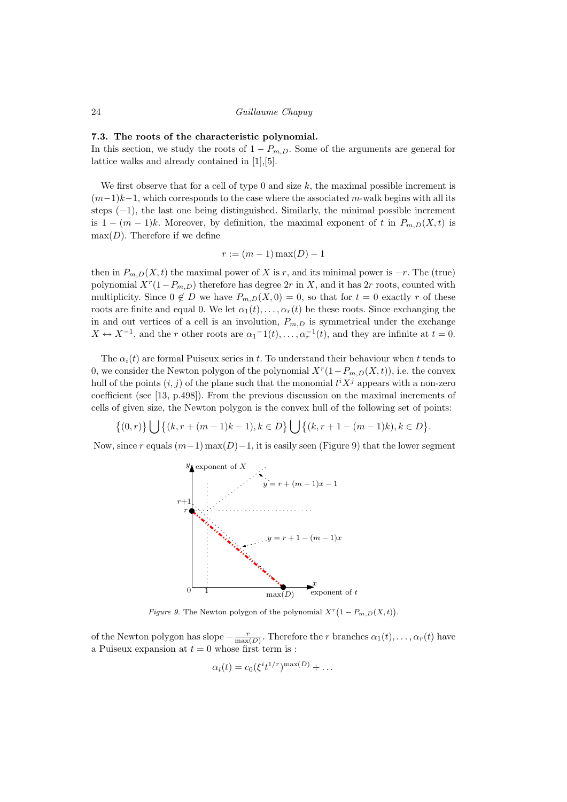#### 7.3. The roots of the characteristic polynomial.

In this section, we study the roots of  $1 - P_{m,D}$ . Some of the arguments are general for lattice walks and already contained in [1],[5].

We first observe that for a cell of type  $0$  and size  $k$ , the maximal possible increment is  $(m-1)k-1$ , which corresponds to the case where the associated m-walk begins with all its steps  $(-1)$ , the last one being distinguished. Similarly, the minimal possible increment is  $1 - (m - 1)k$ . Moreover, by definition, the maximal exponent of t in  $P_{m,D}(X,t)$  is  $max(D)$ . Therefore if we define

$$
r := (m-1)\max(D) - 1
$$

then in  $P_{m,D}(X,t)$  the maximal power of X is r, and its minimal power is  $-r$ . The (true) polynomial  $X^r(1-P_{m,D})$  therefore has degree  $2r$  in X, and it has  $2r$  roots, counted with multiplicity. Since  $0 \notin D$  we have  $P_{m,D}(X,0) = 0$ , so that for  $t = 0$  exactly r of these roots are finite and equal 0. We let  $\alpha_1(t), \ldots, \alpha_r(t)$  be these roots. Since exchanging the in and out vertices of a cell is an involution,  $P_{m,D}$  is symmetrical under the exchange  $X \leftrightarrow X^{-1}$ , and the r other roots are  $\alpha_1^{-1}(t), \ldots, \alpha_r^{-1}(t)$ , and they are infinite at  $t = 0$ .

The  $\alpha_i(t)$  are formal Puiseux series in t. To understand their behaviour when t tends to 0, we consider the Newton polygon of the polynomial  $X^r(1-P_{m,D}(X,t))$ , i.e. the convex hull of the points  $(i, j)$  of the plane such that the monomial  $t<sup>i</sup>X<sup>j</sup>$  appears with a non-zero coefficient (see [13, p.498]). From the previous discussion on the maximal increments of cells of given size, the Newton polygon is the convex hull of the following set of points:

 $\{(0,r)\}\Big\{\int (k, r + (m-1)k - 1), k \in D\}\Big\{\int (k, r + 1 - (m-1)k), k \in D\}.$ 

Now, since r equals  $(m-1)$  max $(D)-1$ , it is easily seen (Figure 9) that the lower segment



Figure 9. The Newton polygon of the polynomial  $X^r(1-P_{m,D}(X,t))$ .

of the Newton polygon has slope  $-\frac{r}{\max(D)}$ . Therefore the r branches  $\alpha_1(t), \ldots, \alpha_r(t)$  have a Puiseux expansion at  $t = 0$  whose first term is :

$$
\alpha_i(t) = c_0 (\xi^i t^{1/r})^{\max(D)} + \dots
$$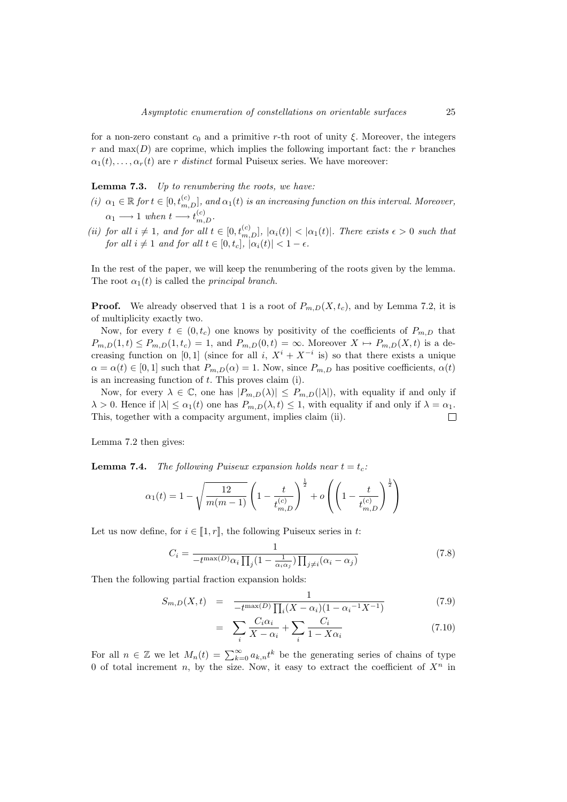for a non-zero constant  $c_0$  and a primitive r-th root of unity  $\xi$ . Moreover, the integers r and max( $D$ ) are coprime, which implies the following important fact: the r branches  $\alpha_1(t), \ldots, \alpha_r(t)$  are r distinct formal Puiseux series. We have moreover:

**Lemma 7.3.** Up to renumbering the roots, we have:

- (i)  $\alpha_1 \in \mathbb{R}$  for  $t \in [0, t_{m,D}^{(c)}]$ , and  $\alpha_1(t)$  is an increasing function on this interval. Moreover,  $\alpha_1 \longrightarrow 1$  when  $t \longrightarrow t_{m,D}^{(c)}$ .
- (ii) for all  $i \neq 1$ , and for all  $t \in [0, t_{m,D}^{(c)}], |\alpha_i(t)| < |\alpha_1(t)|$ . There exists  $\epsilon > 0$  such that for all  $i \neq 1$  and for all  $t \in [0, t_c]$ ,  $|\alpha_i(t)| < 1 - \epsilon$ .

In the rest of the paper, we will keep the renumbering of the roots given by the lemma. The root  $\alpha_1(t)$  is called the *principal branch*.

**Proof.** We already observed that 1 is a root of  $P_{m,D}(X, t_c)$ , and by Lemma 7.2, it is of multiplicity exactly two.

Now, for every  $t \in (0, t_c)$  one knows by positivity of the coefficients of  $P_{m,D}$  that  $P_{m,D}(1,t) \leq P_{m,D}(1,t_c) = 1$ , and  $P_{m,D}(0,t) = \infty$ . Moreover  $X \mapsto P_{m,D}(X,t)$  is a decreasing function on [0, 1] (since for all i,  $X^{i} + X^{-i}$  is) so that there exists a unique  $\alpha = \alpha(t) \in [0, 1]$  such that  $P_{m,D}(\alpha) = 1$ . Now, since  $P_{m,D}$  has positive coefficients,  $\alpha(t)$ is an increasing function of t. This proves claim (i).

Now, for every  $\lambda \in \mathbb{C}$ , one has  $|P_{m,D}(\lambda)| \leq P_{m,D}(|\lambda|)$ , with equality if and only if  $\lambda > 0$ . Hence if  $|\lambda| \leq \alpha_1(t)$  one has  $P_{m,D}(\lambda, t) \leq 1$ , with equality if and only if  $\lambda = \alpha_1$ . This, together with a compacity argument, implies claim (ii).  $\Box$ 

Lemma 7.2 then gives:

**Lemma 7.4.** The following Puiseux expansion holds near  $t = t_c$ .

$$
\alpha_1(t) = 1 - \sqrt{\frac{12}{m(m-1)}} \left( 1 - \frac{t}{t_{m,D}^{(c)}} \right)^{\frac{1}{2}} + o\left( \left( 1 - \frac{t}{t_{m,D}^{(c)}} \right)^{\frac{1}{2}} \right)
$$

Let us now define, for  $i \in [1, r]$ , the following Puiseux series in t:

$$
C_i = \frac{1}{-t^{\max(D)}\alpha_i \prod_j (1 - \frac{1}{\alpha_i \alpha_j}) \prod_{j \neq i} (\alpha_i - \alpha_j)}
$$
(7.8)

Then the following partial fraction expansion holds:

$$
S_{m,D}(X,t) = \frac{1}{-t^{\max(D)}\prod_{i}(X-\alpha_i)(1-\alpha_i^{-1}X^{-1})}
$$
(7.9)

$$
= \sum_{i} \frac{C_i \alpha_i}{X - \alpha_i} + \sum_{i} \frac{C_i}{1 - X\alpha_i} \tag{7.10}
$$

For all  $n \in \mathbb{Z}$  we let  $M_n(t) = \sum_{k=0}^{\infty} a_{k,n} t^k$  be the generating series of chains of type 0 of total increment n, by the size. Now, it easy to extract the coefficient of  $X^n$  in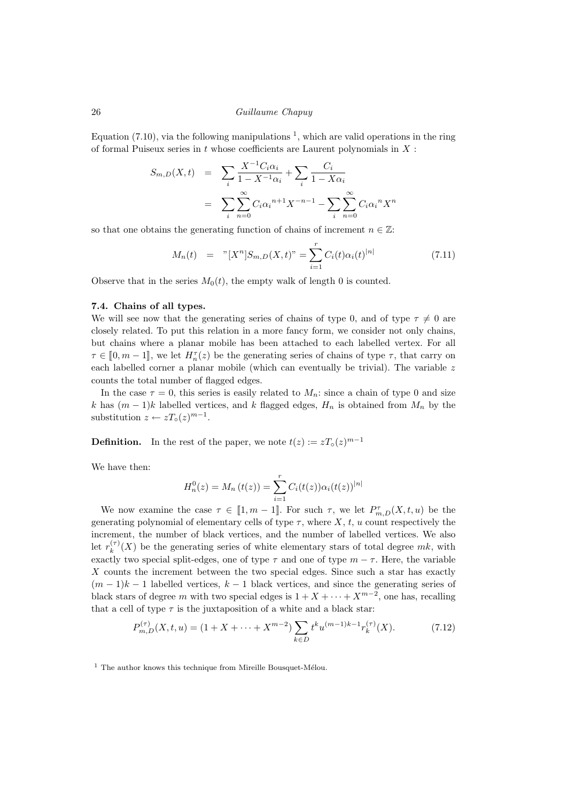Equation  $(7.10)$ , via the following manipulations <sup>1</sup>, which are valid operations in the ring of formal Puiseux series in  $t$  whose coefficients are Laurent polynomials in  $X$ :

$$
S_{m,D}(X,t) = \sum_{i} \frac{X^{-1}C_i\alpha_i}{1 - X^{-1}\alpha_i} + \sum_{i} \frac{C_i}{1 - X\alpha_i}
$$
  
= 
$$
\sum_{i} \sum_{n=0}^{\infty} C_i \alpha_i^{n+1} X^{-n-1} - \sum_{i} \sum_{n=0}^{\infty} C_i \alpha_i^{n} X^{n}
$$

so that one obtains the generating function of chains of increment  $n \in \mathbb{Z}$ :

$$
M_n(t) = "[X^n]S_{m,D}(X,t)" = \sum_{i=1}^r C_i(t)\alpha_i(t)^{|n|}
$$
\n(7.11)

Observe that in the series  $M_0(t)$ , the empty walk of length 0 is counted.

#### 7.4. Chains of all types.

We will see now that the generating series of chains of type 0, and of type  $\tau \neq 0$  are closely related. To put this relation in a more fancy form, we consider not only chains, but chains where a planar mobile has been attached to each labelled vertex. For all  $\tau \in [0, m-1]$ , we let  $H_n^{\tau}(z)$  be the generating series of chains of type  $\tau$ , that carry on<br>seek labelled series a planar makile (which see symptoply be trivial). The variable is each labelled corner a planar mobile (which can eventually be trivial). The variable z counts the total number of flagged edges.

In the case  $\tau = 0$ , this series is easily related to  $M_n$ : since a chain of type 0 and size k has  $(m-1)k$  labelled vertices, and k flagged edges,  $H_n$  is obtained from  $M_n$  by the substitution  $z \leftarrow zT_{\circ}(z)^{m-1}$ .

**Definition.** In the rest of the paper, we note  $t(z) := zT_o(z)^{m-1}$ 

We have then:

$$
H_n^0(z) = M_n(t(z)) = \sum_{i=1}^r C_i(t(z))\alpha_i(t(z))^{n|}
$$

We now examine the case  $\tau \in [1, m-1]$ . For such  $\tau$ , we let  $P_{m,D}^{\tau}(X, t, u)$  be the generating polynomial of elementary cells of type  $\tau$ , where X, t, u count respectively the increment, the number of black vertices, and the number of labelled vertices. We also let  $r_k^{(\tau)}$  $\binom{n}{k}(X)$  be the generating series of white elementary stars of total degree  $mk$ , with exactly two special split-edges, one of type  $\tau$  and one of type  $m - \tau$ . Here, the variable X counts the increment between the two special edges. Since such a star has exactly  $(m-1)k-1$  labelled vertices,  $k-1$  black vertices, and since the generating series of black stars of degree m with two special edges is  $1 + X + \cdots + X^{m-2}$ , one has, recalling that a cell of type  $\tau$  is the juxtaposition of a white and a black star:

$$
P_{m,D}^{(\tau)}(X,t,u) = (1 + X + \dots + X^{m-2}) \sum_{k \in D} t^k u^{(m-1)k-1} r_k^{(\tau)}(X).
$$
 (7.12)

 $1$  The author knows this technique from Mireille Bousquet-Mélou.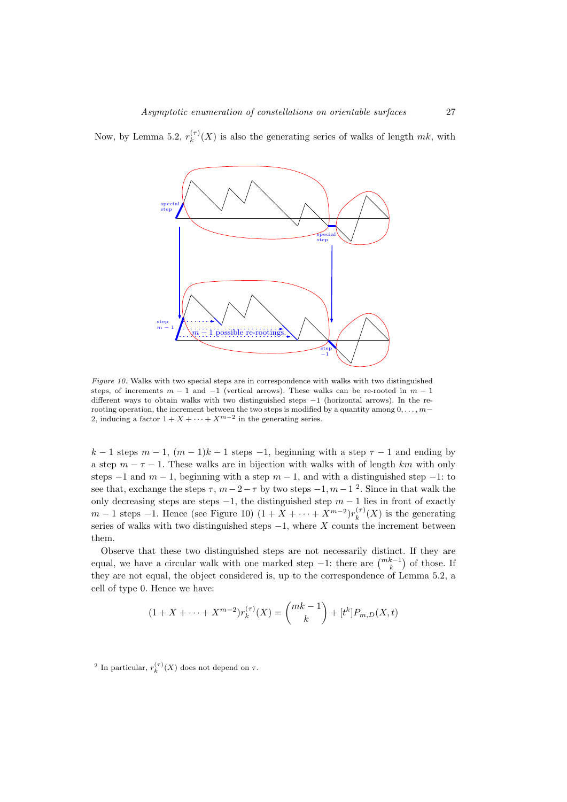step  $m-1$ step −1 special step special step  $m-1$  possible re-rootings.

Now, by Lemma 5.2,  $r_k^{(\tau)}$  $\binom{n}{k}(X)$  is also the generating series of walks of length  $mk$ , with

Figure 10. Walks with two special steps are in correspondence with walks with two distinguished steps, of increments  $m - 1$  and  $-1$  (vertical arrows). These walks can be re-rooted in  $m - 1$ different ways to obtain walks with two distinguished steps −1 (horizontal arrows). In the rerooting operation, the increment between the two steps is modified by a quantity among  $0, \ldots, m-$ 2, inducing a factor  $1 + X + \cdots + X^{m-2}$  in the generating series.

 $k-1$  steps  $m-1$ ,  $(m-1)k-1$  steps  $-1$ , beginning with a step  $\tau-1$  and ending by a step  $m - \tau - 1$ . These walks are in bijection with walks with of length km with only steps  $-1$  and  $m - 1$ , beginning with a step  $m - 1$ , and with a distinguished step  $-1$ : to see that, exchange the steps  $\tau$ ,  $m-2-\tau$  by two steps  $-1$ ,  $m-1$  <sup>2</sup>. Since in that walk the only decreasing steps are steps  $-1$ , the distinguished step  $m - 1$  lies in front of exactly  $m-1$  steps  $-1$ . Hence (see Figure 10)  $(1+X+\cdots+X^{m-2})r_k^{(\tau)}$  $\binom{n}{k}$  (X) is the generating series of walks with two distinguished steps  $-1$ , where X counts the increment between them.

Observe that these two distinguished steps are not necessarily distinct. If they are equal, we have a circular walk with one marked step  $-1$ : there are  $\binom{mk-1}{k}$  of those. If they are not equal, the object considered is, up to the correspondence of Lemma 5.2, a cell of type 0. Hence we have:

$$
(1 + X + \dots + X^{m-2})r_k^{(\tau)}(X) = {mk - 1 \choose k} + [t^k]P_{m,D}(X,t)
$$

<sup>2</sup> In particular,  $r_k^{(\tau)}(X)$  does not depend on  $\tau$ .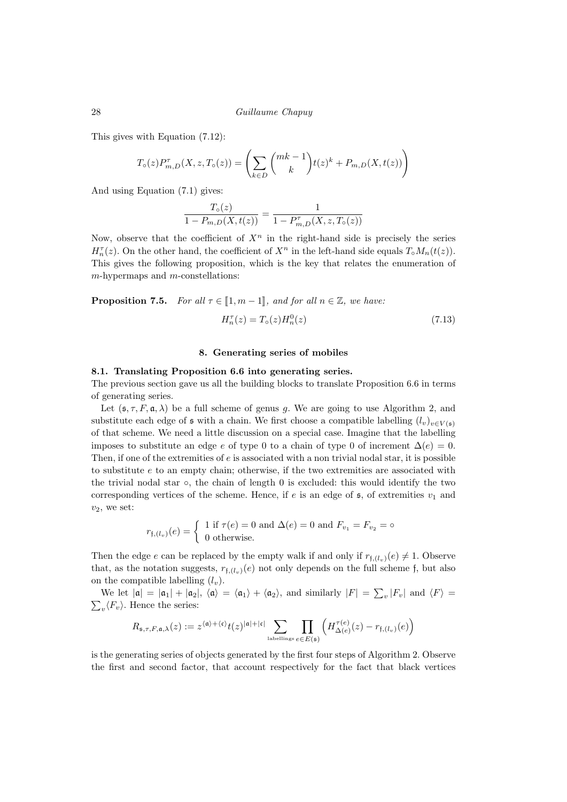This gives with Equation (7.12):

$$
T_{\circ}(z)P_{m,D}^{\tau}(X,z,T_{\circ}(z)) = \left(\sum_{k \in D} {mk-1 \choose k} t(z)^k + P_{m,D}(X,t(z))\right)
$$

And using Equation (7.1) gives:

$$
\frac{T_o(z)}{1 - P_{m,D}(X, t(z))} = \frac{1}{1 - P_{m,D}^{\tau}(X, z, T_o(z))}
$$

Now, observe that the coefficient of  $X<sup>n</sup>$  in the right-hand side is precisely the series  $H_n^{\tau}(z)$ . On the other hand, the coefficient of  $X^n$  in the left-hand side equals  $T_\circ M_n(t(z))$ . This gives the following proposition, which is the key that relates the enumeration of  $m$ -hypermaps and  $m$ -constellations:

**Proposition 7.5.** For all  $\tau \in [1, m-1]$ , and for all  $n \in \mathbb{Z}$ , we have:

$$
H_n^{\tau}(z) = T_o(z)H_n^0(z)
$$
\n(7.13)

# 8. Generating series of mobiles

#### 8.1. Translating Proposition 6.6 into generating series.

The previous section gave us all the building blocks to translate Proposition 6.6 in terms of generating series.

Let  $(s, \tau, F, \mathfrak{a}, \lambda)$  be a full scheme of genus g. We are going to use Algorithm 2, and substitute each edge of  $\mathfrak s$  with a chain. We first choose a compatible labelling  $(l_v)_{v \in V(\mathfrak s)}$ of that scheme. We need a little discussion on a special case. Imagine that the labelling imposes to substitute an edge e of type 0 to a chain of type 0 of increment  $\Delta(e) = 0$ . Then, if one of the extremities of  $e$  is associated with a non trivial nodal star, it is possible to substitute  $e$  to an empty chain; otherwise, if the two extremities are associated with the trivial nodal star ◦, the chain of length 0 is excluded: this would identify the two corresponding vertices of the scheme. Hence, if  $e$  is an edge of  $\mathfrak{s}$ , of extremities  $v_1$  and  $v_2$ , we set:

$$
r_{\mathfrak{f},(l_v)}(e) = \begin{cases} 1 \text{ if } \tau(e) = 0 \text{ and } \Delta(e) = 0 \text{ and } F_{v_1} = F_{v_2} = \circ \\ 0 \text{ otherwise.} \end{cases}
$$

Then the edge e can be replaced by the empty walk if and only if  $r_{f,(l_v)}(e) \neq 1$ . Observe that, as the notation suggests,  $r_{f,(l_u)}(e)$  not only depends on the full scheme f, but also on the compatible labelling  $(l_v)$ .

We let  $|\mathfrak{a}| = |\mathfrak{a}_1| + |\mathfrak{a}_2|$ ,  $\langle \mathfrak{a} \rangle = \langle \mathfrak{a}_1 \rangle + \langle \mathfrak{a}_2 \rangle$ , and similarly  $|F| = \sum_v |F_v|$  and  $\langle F \rangle =$  $\sum_{v} \langle F_v \rangle$ . Hence the series:

$$
R_{\mathfrak{s}, \tau, F, \mathfrak{a}, \lambda}(z) := z^{\langle \mathfrak{a} \rangle + \langle \mathfrak{c} \rangle} t(z)^{|\mathfrak{a}| + |\mathfrak{c}|} \sum_{\text{labellings}} \prod_{e \in E(\mathfrak{s})} \left( H^{\tau(e)}_{\Delta(e)}(z) - r_{\mathfrak{f}, (l_v)}(e) \right)
$$

is the generating series of objects generated by the first four steps of Algorithm 2. Observe the first and second factor, that account respectively for the fact that black vertices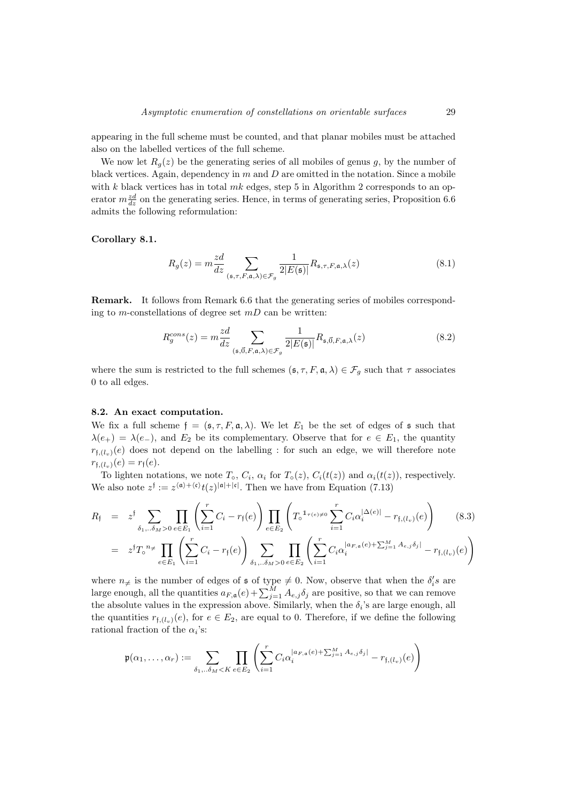appearing in the full scheme must be counted, and that planar mobiles must be attached also on the labelled vertices of the full scheme.

We now let  $R_q(z)$  be the generating series of all mobiles of genus q, by the number of black vertices. Again, dependency in  $m$  and  $D$  are omitted in the notation. Since a mobile with  $k$  black vertices has in total  $mk$  edges, step 5 in Algorithm 2 corresponds to an operator  $m\frac{zd}{dz}$  on the generating series. Hence, in terms of generating series, Proposition 6.6 admits the following reformulation:

Corollary 8.1.

$$
R_g(z) = m \frac{z d}{dz} \sum_{(\mathfrak{s}, \tau, F, \mathfrak{a}, \lambda) \in \mathcal{F}_g} \frac{1}{2|E(\mathfrak{s})|} R_{\mathfrak{s}, \tau, F, \mathfrak{a}, \lambda}(z)
$$
(8.1)

Remark. It follows from Remark 6.6 that the generating series of mobiles corresponding to m-constellations of degree set  $mD$  can be written:

$$
R_g^{cons}(z) = m \frac{zd}{dz} \sum_{(\mathfrak{s}, \vec{0}, F, \mathfrak{a}, \lambda) \in \mathcal{F}_g} \frac{1}{2|E(\mathfrak{s})|} R_{\mathfrak{s}, \vec{0}, F, \mathfrak{a}, \lambda}(z)
$$
(8.2)

where the sum is restricted to the full schemes  $(s, \tau, F, \mathfrak{a}, \lambda) \in \mathcal{F}_q$  such that  $\tau$  associates 0 to all edges.

#### 8.2. An exact computation.

We fix a full scheme  $f = (\mathfrak{s}, \tau, F, \mathfrak{a}, \lambda)$ . We let  $E_1$  be the set of edges of  $\mathfrak{s}$  such that  $\lambda(e_+) = \lambda(e_-)$ , and  $E_2$  be its complementary. Observe that for  $e \in E_1$ , the quantity  $r_{f,(l_n)}(e)$  does not depend on the labelling : for such an edge, we will therefore note  $r_{f,(l_v)}(e) = r_f(e).$ 

To lighten notations, we note  $T_o$ ,  $C_i$ ,  $\alpha_i$  for  $T_o(z)$ ,  $C_i(t(z))$  and  $\alpha_i(t(z))$ , respectively. We also note  $z^{\dagger} := z^{(\mathfrak{a}) + \langle \mathfrak{c} \rangle} t(z)^{|\mathfrak{a}| + |\mathfrak{c}|}$ . Then we have from Equation (7.13)

$$
R_{\mathfrak{f}} = z^{\mathfrak{f}} \sum_{\delta_{1}, \ldots \delta_{M} > 0} \prod_{e \in E_{1}} \left( \sum_{i=1}^{r} C_{i} - r_{\mathfrak{f}}(e) \right) \prod_{e \in E_{2}} \left( T_{\circ}^{\mathbb{1}_{\tau(e) \neq 0}} \sum_{i=1}^{r} C_{i} \alpha_{i}^{|\Delta(e)|} - r_{\mathfrak{f},(l_{v})}(e) \right) \tag{8.3}
$$
  

$$
= z^{\mathfrak{f}} T_{\circ}^{\mathbb{1}_{\neq}} \prod_{e \in E_{1}} \left( \sum_{i=1}^{r} C_{i} - r_{\mathfrak{f}}(e) \right) \sum_{\delta_{1}, \ldots \delta_{M} > 0} \prod_{e \in E_{2}} \left( \sum_{i=1}^{r} C_{i} \alpha_{i}^{|a_{F,a}(e) + \sum_{j=1}^{M} A_{e,j} \delta_{j}|} - r_{\mathfrak{f},(l_{v})}(e) \right)
$$

where  $n_{\neq}$  is the number of edges of s of type  $\neq 0$ . Now, observe that when the  $\delta_i$ 's are large enough, all the quantities  $a_{F,\mathfrak{a}}(e) + \sum_{j=1}^{M} A_{e,j} \delta_j$  are positive, so that we can remove the absolute values in the expression above. Similarly, when the  $\delta_i$ 's are large enough, all the quantities  $r_{f,(l_v)}(e)$ , for  $e \in E_2$ , are equal to 0. Therefore, if we define the following rational fraction of the  $\alpha_i$ 's:

$$
\mathfrak{p}(\alpha_1,\ldots,\alpha_r) := \sum_{\delta_1,\ldots,\delta_M < K} \prod_{e \in E_2} \left( \sum_{i=1}^r C_i \alpha_i^{|a_{F,\mathfrak{a}}(e) + \sum_{j=1}^M A_{e,j} \delta_j|} - r_{\mathfrak{f},(l_v)}(e) \right)
$$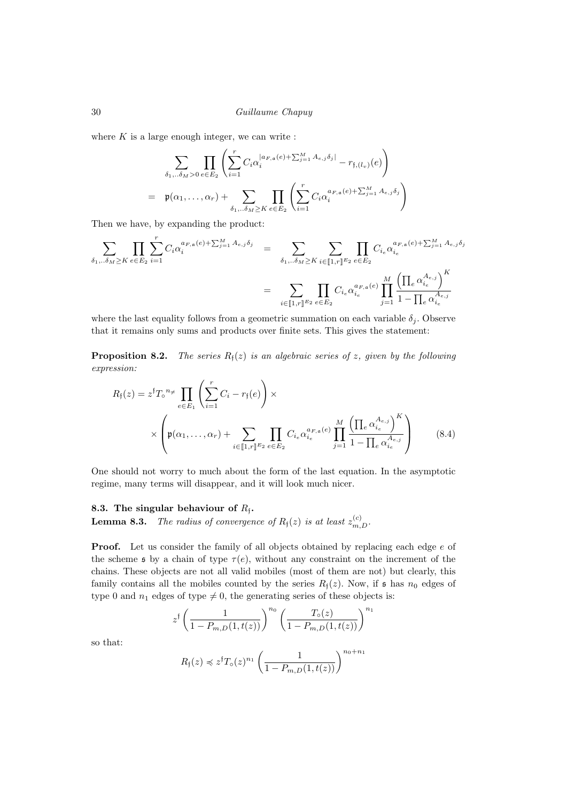where  $K$  is a large enough integer, we can write :

$$
\sum_{\delta_1, \ldots, \delta_M > 0} \prod_{e \in E_2} \left( \sum_{i=1}^r C_i \alpha_i^{|a_{F,a}(e) + \sum_{j=1}^M A_{e,j} \delta_j|} - r_{\mathfrak{f},(l_v)}(e) \right)
$$
\n
$$
= \mathfrak{p}(\alpha_1, \ldots, \alpha_r) + \sum_{\delta_1, \ldots, \delta_M \geq K} \prod_{e \in E_2} \left( \sum_{i=1}^r C_i \alpha_i^{a_{F,a}(e) + \sum_{j=1}^M A_{e,j} \delta_j} \right)
$$

Then we have, by expanding the product:

$$
\sum_{\delta_1...\delta_M \ge K} \prod_{e \in E_2} \sum_{i=1}^r C_i \alpha_i^{a_{F,a}(e) + \sum_{j=1}^M A_{e,j} \delta_j} = \sum_{\delta_1...\delta_M \ge K} \sum_{i \in [\![1,r]\!]^{E_2}} \prod_{e \in E_2} C_{i_e} \alpha_{i_e}^{a_{F,a}(e) + \sum_{j=1}^M A_{e,j} \delta_j}
$$
\n
$$
= \sum_{i \in [\![1,r]\!]^{E_2}} \prod_{e \in E_2} C_{i_e} \alpha_{i_e}^{a_{F,a}(e)} \prod_{j=1}^M \frac{\left(\prod_e \alpha_{i_e}^{A_{e,j}}\right)^K}{1 - \prod_e \alpha_{i_e}^{A_{e,j}}}
$$

where the last equality follows from a geometric summation on each variable  $\delta_j$ . Observe that it remains only sums and products over finite sets. This gives the statement:

**Proposition 8.2.** The series  $R_i(z)$  is an algebraic series of z, given by the following expression:

$$
R_{\mathfrak{f}}(z) = z^{\mathfrak{f}} T_{\circ}^{n_{\neq}} \prod_{e \in E_1} \left( \sum_{i=1}^{r} C_i - r_{\mathfrak{f}}(e) \right) \times \times \left( \mathfrak{p}(\alpha_1, \dots, \alpha_r) + \sum_{i \in [\![1,r]\!]^{\, E_2}} \prod_{e \in E_2} C_{i_e} \alpha_{i_e}^{a_{F,\mathfrak{a}}(e)} \prod_{j=1}^{M} \frac{\left( \prod_e \alpha_{i_e}^{A_{e,j}} \right)^K}{1 - \prod_e \alpha_{i_e}^{A_{e,j}}} \right) \tag{8.4}
$$

One should not worry to much about the form of the last equation. In the asymptotic regime, many terms will disappear, and it will look much nicer.

# 8.3. The singular behaviour of  $R_f$ .

**Lemma 8.3.** The radius of convergence of  $R_f(z)$  is at least  $z_{m,D}^{(c)}$ .

Proof. Let us consider the family of all objects obtained by replacing each edge  $e$  of the scheme s by a chain of type  $\tau(e)$ , without any constraint on the increment of the chains. These objects are not all valid mobiles (most of them are not) but clearly, this family contains all the mobiles counted by the series  $R_f(z)$ . Now, if s has  $n_0$  edges of type 0 and  $n_1$  edges of type  $\neq$  0, the generating series of these objects is:

$$
z^{\dagger} \left( \frac{1}{1 - P_{m,D}(1, t(z))} \right)^{n_0} \left( \frac{T_o(z)}{1 - P_{m,D}(1, t(z))} \right)^{n_1}
$$

so that:

$$
R_{\mathfrak{f}}(z) \preccurlyeq z^{\mathfrak{f}} T_{\mathfrak{0}}(z)^{n_1} \left( \frac{1}{1 - P_{m,D}(1,t(z))} \right)^{n_0 + n_1}
$$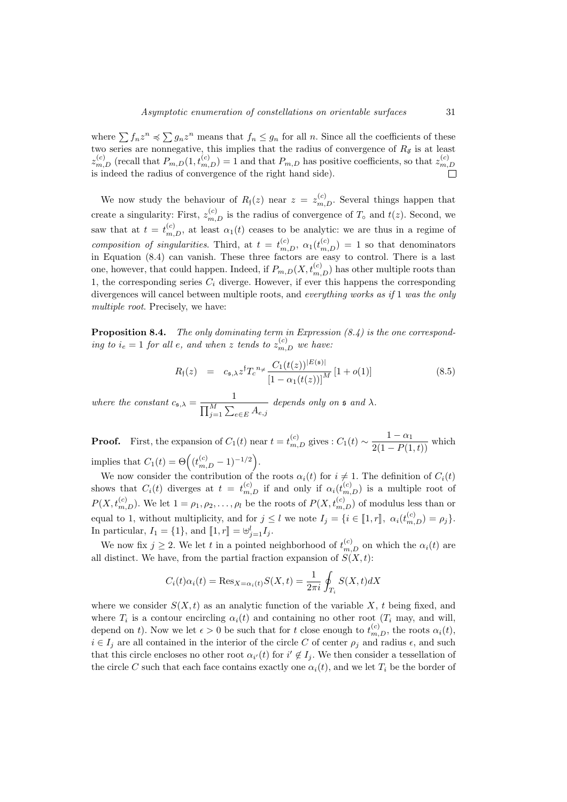where  $\sum f_n z^n \preccurlyeq \sum g_n z^n$  means that  $f_n \leq g_n$  for all n. Since all the coefficients of these two series are nonnegative, this implies that the radius of convergence of  $R_{\vec{\sigma}}$  is at least  $z_{m,D}^{(c)}$  (recall that  $P_{m,D}(1,t_{m,D}^{(c)})=1$  and that  $P_{m,D}$  has positive coefficients, so that  $z_{m,D}^{(c)}$  $m,D$ is indeed the radius of convergence of the right hand side).

We now study the behaviour of  $R_{\mathfrak{f}}(z)$  near  $z = z_{m,D}^{(c)}$ . Several things happen that create a singularity: First,  $z_{m,D}^{(c)}$  is the radius of convergence of  $T_0$  and  $t(z)$ . Second, we saw that at  $t = t_{m,D}^{(c)}$ , at least  $\alpha_1(t)$  ceases to be analytic: we are thus in a regime of composition of singularities. Third, at  $t = t_{m,D}^{(c)}$ ,  $\alpha_1(t_{m,D}^{(c)}) = 1$  so that denominators in Equation (8.4) can vanish. These three factors are easy to control. There is a last one, however, that could happen. Indeed, if  $P_{m,D}(X, t_{m,D}^{(c)})$  has other multiple roots than 1, the corresponding series  $C_i$  diverge. However, if ever this happens the corresponding divergences will cancel between multiple roots, and everything works as if 1 was the only multiple root. Precisely, we have:

**Proposition 8.4.** The only dominating term in Expression  $(8.4)$  is the one corresponding to  $i_e = 1$  for all e, and when z tends to  $z_{m,D}^{(c)}$  we have:

$$
R_{\mathfrak{f}}(z) = c_{\mathfrak{s},\lambda} z^{\mathfrak{f}} T_c^{n_{\neq}} \frac{C_1(t(z))^{|E(\mathfrak{s})|}}{\left[1 - \alpha_1(t(z))\right]^M} \left[1 + o(1)\right] \tag{8.5}
$$

where the constant  $c_{\mathfrak{s},\lambda} = \frac{1}{\Box M \Box \Box}$  $\prod_{j=1}^{M} \sum_{e \in E} A_{e,j}$ depends only on  $\frak s$  and  $\lambda$ .

**Proof.** First, the expansion of  $C_1(t)$  near  $t = t_{m,D}^{(c)}$  gives :  $C_1(t) \sim \frac{1-\alpha_1}{2(1-P(1,t))}$  which implies that  $C_1(t) = \Theta((t_{m,D}^{(c)} - 1)^{-1/2}).$ 

We now consider the contribution of the roots  $\alpha_i(t)$  for  $i \neq 1$ . The definition of  $C_i(t)$ shows that  $C_i(t)$  diverges at  $t = t_{m,D}^{(c)}$  if and only if  $\alpha_i(t_{m,D}^{(c)})$  is a multiple root of  $P(X, t_{m,D}^{(c)})$ . We let  $1 = \rho_1, \rho_2, \ldots, \rho_l$  be the roots of  $P(X, t_{m,D}^{(c)})$  of modulus less than or equal to 1, without multiplicity, and for  $j \leq l$  we note  $I_j = \{i \in [1, r], \alpha_i(t_{m,D}^{(c)}) = \rho_j\}$ . In particular,  $I_1 = \{1\}$ , and  $\llbracket 1, r \rrbracket = \biguplus_{j=1}^{l} I_j$ .

We now fix  $j \geq 2$ . We let t in a pointed neighborhood of  $t_{m,D}^{(c)}$  on which the  $\alpha_i(t)$  are all distinct. We have, from the partial fraction expansion of  $S(X, t)$ :

$$
C_i(t)\alpha_i(t) = \text{Res}_{X=\alpha_i(t)}S(X,t) = \frac{1}{2\pi i} \oint_{T_i} S(X,t)dX
$$

where we consider  $S(X, t)$  as an analytic function of the variable X, t being fixed, and where  $T_i$  is a contour encircling  $\alpha_i(t)$  and containing no other root  $(T_i \text{ may, and will,})$ depend on t). Now we let  $\epsilon > 0$  be such that for t close enough to  $t_{m,D}^{(c)}$ , the roots  $\alpha_i(t)$ ,  $i \in I_j$  are all contained in the interior of the circle C of center  $\rho_j$  and radius  $\epsilon$ , and such that this circle encloses no other root  $\alpha_{i'}(t)$  for  $i' \notin I_j$ . We then consider a tessellation of the circle C such that each face contains exactly one  $\alpha_i(t)$ , and we let  $T_i$  be the border of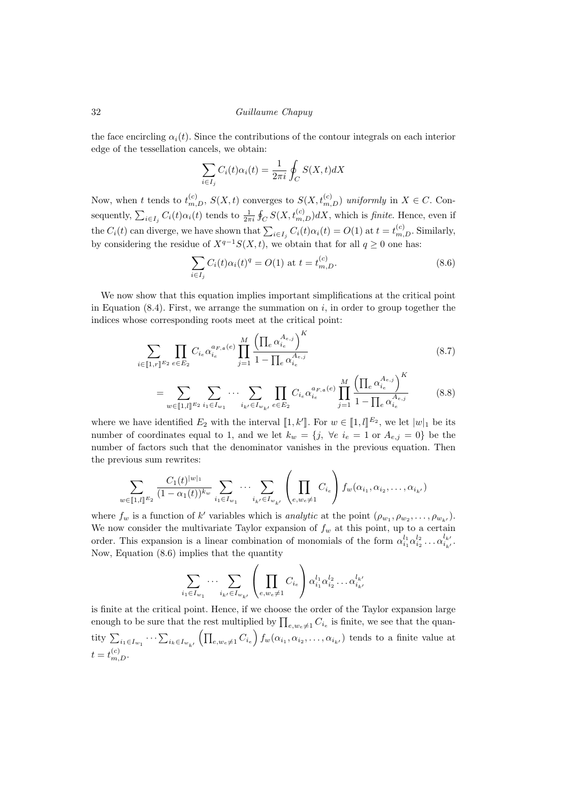the face encircling  $\alpha_i(t)$ . Since the contributions of the contour integrals on each interior edge of the tessellation cancels, we obtain:

$$
\sum_{i \in I_j} C_i(t)\alpha_i(t) = \frac{1}{2\pi i} \oint_C S(X, t)dX
$$

Now, when t tends to  $t_{m,D}^{(c)}$ ,  $S(X,t)$  converges to  $S(X,t_{m,D}^{(c)})$  uniformly in  $X \in C$ . Consequently,  $\sum_{i\in I_j} C_i(t)\alpha_i(t)$  tends to  $\frac{1}{2\pi i}\oint_C S(X,t_{m,D}^{(c)})dX$ , which is *finite*. Hence, even if the  $C_i(t)$  can diverge, we have shown that  $\sum_{i \in I_j} C_i(t) \alpha_i(t) = O(1)$  at  $t = t_{m,D}^{(c)}$ . Similarly, by considering the residue of  $X^{q-1}S(X,t)$ , we obtain that for all  $q \geq 0$  one has:

$$
\sum_{i \in I_j} C_i(t) \alpha_i(t)^q = O(1) \text{ at } t = t_{m,D}^{(c)}.
$$
 (8.6)

We now show that this equation implies important simplifications at the critical point in Equation  $(8.4)$ . First, we arrange the summation on i, in order to group together the indices whose corresponding roots meet at the critical point:

$$
\sum_{i \in [\![1,r]\!]^{E_2}} \prod_{e \in E_2} C_{i_e} \alpha_{i_e}^{a_{F,\mathfrak{a}}(e)} \prod_{j=1}^M \frac{\left(\prod_e \alpha_{i_e}^{A_{e,j}}\right)^K}{1 - \prod_e \alpha_{i_e}^{A_{e,j}}}
$$
(8.7)

$$
= \sum_{w \in [\![1,l]\!]^{E_2}} \sum_{i_1 \in I_{w_1}} \cdots \sum_{i_{k'} \in I_{w_{k'}}} \prod_{e \in E_2} C_{i_e} \alpha_{i_e}^{a_{F,\mathfrak{a}}(e)} \prod_{j=1}^M \frac{\left(\prod_e \alpha_{i_e}^{A_{e,j}}\right)^K}{1 - \prod_e \alpha_{i_e}^{A_{e,j}}}
$$
(8.8)

where we have identified  $E_2$  with the interval  $\llbracket 1, k' \rrbracket$ . For  $w \in \llbracket 1, l \rrbracket^{E_2}$ , we let  $|w|_1$  be its number of coordinates equal to 1, and we let  $k_w = \{j, \forall e \ i_e = 1 \text{ or } A_{e,j} = 0\}$  be the number of factors such that the denominator vanishes in the previous equation. Then the previous sum rewrites:

$$
\sum_{w \in [\![1,l]\!]^{\mathcal{E}_2}} \frac{C_1(t)^{|w|_1}}{(1 - \alpha_1(t))^{k_w}} \sum_{i_1 \in I_{w_1}} \cdots \sum_{i_{k'} \in I_{w_{k'}}} \left(\prod_{e, w_e \neq 1} C_{i_e}\right) f_w(\alpha_{i_1}, \alpha_{i_2}, \ldots, \alpha_{i_{k'}})
$$

where  $f_w$  is a function of k' variables which is *analytic* at the point  $(\rho_{w_1}, \rho_{w_2}, \dots, \rho_{w_{k'}})$ . We now consider the multivariate Taylor expansion of  $f_w$  at this point, up to a certain order. This expansion is a linear combination of monomials of the form  $\alpha_{i_1}^{l_1}\alpha_{i_2}^{l_2}\dots \alpha_{i_k}^{l_k}$  $i_{k'}$ . Now, Equation (8.6) implies that the quantity

$$
\sum_{i_1 \in I_{w_1}} \cdots \sum_{i_{k'} \in I_{w_{k'}}} \left( \prod_{e, w_e \neq 1} C_{i_e} \right) \alpha_{i_1}^{l_1} \alpha_{i_2}^{l_2} \dots \alpha_{i_{k'}}^{l_{k'}}
$$

is finite at the critical point. Hence, if we choose the order of the Taylor expansion large enough to be sure that the rest multiplied by  $\prod_{e,w_e\neq 1} C_{i_e}$  is finite, we see that the quantity  $\sum_{i_1 \in I_{w_1}} \cdots \sum_{i_k \in I_{w_{k'}}} \left( \prod_{e,w_e \neq 1} C_{i_e} \right) f_w(\alpha_{i_1}, \alpha_{i_2}, \dots, \alpha_{i_{k'}})$  tends to a finite value at  $t = t_{m,D}^{(c)}$ .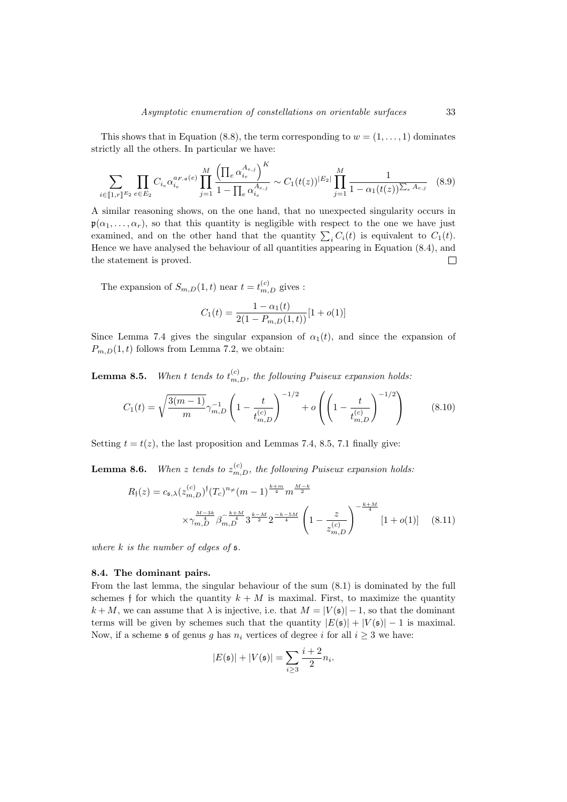This shows that in Equation (8.8), the term corresponding to  $w = (1, \ldots, 1)$  dominates strictly all the others. In particular we have:

$$
\sum_{i \in [\![1,r]\!]^{E_2}} \prod_{e \in E_2} C_{i_e} \alpha_{i_e}^{a_{F,\mathfrak{a}}(e)} \prod_{j=1}^M \frac{\left(\prod_e \alpha_{i_e}^{A_{e,j}}\right)^K}{1 - \prod_e \alpha_{i_e}^{A_{e,j}}} \sim C_1(t(z))^{|E_2|} \prod_{j=1}^M \frac{1}{1 - \alpha_1(t(z))^{\sum_e A_{e,j}}} \quad (8.9)
$$

A similar reasoning shows, on the one hand, that no unexpected singularity occurs in  $\mathfrak{p}(\alpha_1, \ldots, \alpha_r)$ , so that this quantity is negligible with respect to the one we have just examined, and on the other hand that the quantity  $\sum_i C_i(t)$  is equivalent to  $C_1(t)$ . Hence we have analysed the behaviour of all quantities appearing in Equation (8.4), and the statement is proved.  $\Box$ 

The expansion of  $S_{m,D}(1,t)$  near  $t = t_{m,D}^{(c)}$  gives :

$$
C_1(t) = \frac{1 - \alpha_1(t)}{2(1 - P_{m,D}(1,t))} [1 + o(1)]
$$

Since Lemma 7.4 gives the singular expansion of  $\alpha_1(t)$ , and since the expansion of  $P_{m,D}(1,t)$  follows from Lemma 7.2, we obtain:

**Lemma 8.5.** When t tends to  $t_{m,D}^{(c)}$ , the following Puiseux expansion holds.

$$
C_1(t) = \sqrt{\frac{3(m-1)}{m}} \gamma_{m,D}^{-1} \left( 1 - \frac{t}{t_{m,D}^{(c)}} \right)^{-1/2} + o\left( \left( 1 - \frac{t}{t_{m,D}^{(c)}} \right)^{-1/2} \right) \tag{8.10}
$$

Setting  $t = t(z)$ , the last proposition and Lemmas 7.4, 8.5, 7.1 finally give:

**Lemma 8.6.** When z tends to  $z_{m,D}^{(c)}$ , the following Puiseux expansion holds:

$$
R_{\mathfrak{f}}(z) = c_{\mathfrak{s},\lambda} (z_{m,D}^{(c)})^{\mathfrak{f}}(T_c)^{n_{\neq}} (m-1)^{\frac{k+m}{4}} m^{\frac{M-k}{2}}
$$
  

$$
\times \gamma_{m,D}^{\frac{M-3k}{4}} \beta_{m,D}^{-\frac{k+M}{4}} 3^{\frac{k-M}{2}} 2^{-\frac{k-5M}{4}} \left( 1 - \frac{z}{z_{m,D}^{(c)}} \right)^{-\frac{k+M}{4}} [1 + o(1)] \quad (8.11)
$$

where  $k$  is the number of edges of  $\mathfrak s$ .

#### 8.4. The dominant pairs.

From the last lemma, the singular behaviour of the sum (8.1) is dominated by the full schemes f for which the quantity  $k + M$  is maximal. First, to maximize the quantity  $k + M$ , we can assume that  $\lambda$  is injective, i.e. that  $M = |V(\mathfrak{s})| - 1$ , so that the dominant terms will be given by schemes such that the quantity  $|E(\mathfrak{s})| + |V(\mathfrak{s})| - 1$  is maximal. Now, if a scheme  $\mathfrak s$  of genus g has  $n_i$  vertices of degree i for all  $i \geq 3$  we have:

$$
|E(\mathfrak{s})| + |V(\mathfrak{s})| = \sum_{i \ge 3} \frac{i+2}{2} n_i.
$$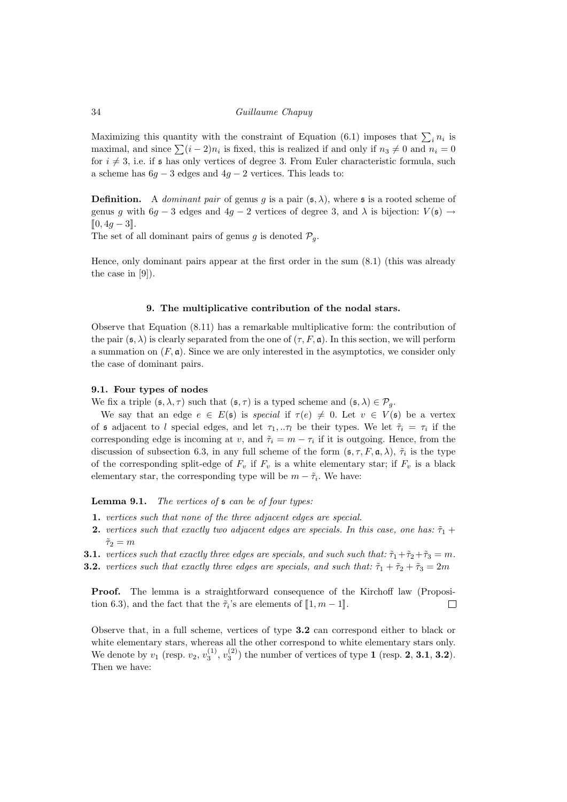Maximizing this quantity with the constraint of Equation (6.1) imposes that  $\sum_i n_i$  is maximal, and since  $\sum (i - 2)n_i$  is fixed, this is realized if and only if  $n_3 \neq 0$  and  $n_i = 0$ for  $i \neq 3$ , i.e. if s has only vertices of degree 3. From Euler characteristic formula, such a scheme has  $6g - 3$  edges and  $4g - 2$  vertices. This leads to:

**Definition.** A *dominant pair* of genus g is a pair  $(\mathfrak{s}, \lambda)$ , where s is a rooted scheme of genus g with  $6g - 3$  edges and  $4g - 2$  vertices of degree 3, and  $\lambda$  is bijection:  $V(\mathfrak{s}) \to$  $[0, 4g − 3].$ 

The set of all dominant pairs of genus g is denoted  $\mathcal{P}_q$ .

Hence, only dominant pairs appear at the first order in the sum (8.1) (this was already the case in [9]).

# 9. The multiplicative contribution of the nodal stars.

Observe that Equation (8.11) has a remarkable multiplicative form: the contribution of the pair  $(\mathfrak{s}, \lambda)$  is clearly separated from the one of  $(\tau, F, \mathfrak{a})$ . In this section, we will perform a summation on  $(F, \mathfrak{a})$ . Since we are only interested in the asymptotics, we consider only the case of dominant pairs.

#### 9.1. Four types of nodes

We fix a triple  $(\mathfrak{s}, \lambda, \tau)$  such that  $(\mathfrak{s}, \tau)$  is a typed scheme and  $(\mathfrak{s}, \lambda) \in \mathcal{P}_q$ .

We say that an edge  $e \in E(\mathfrak{s})$  is special if  $\tau(e) \neq 0$ . Let  $v \in V(\mathfrak{s})$  be a vertex of s adjacent to l special edges, and let  $\tau_1, \ldots, \tau_l$  be their types. We let  $\tilde{\tau}_i = \tau_i$  if the corresponding edge is incoming at v, and  $\tilde{\tau}_i = m - \tau_i$  if it is outgoing. Hence, from the discussion of subsection 6.3, in any full scheme of the form  $(\mathfrak{s}, \tau, F, \mathfrak{a}, \lambda)$ ,  $\tilde{\tau}_i$  is the type of the corresponding split-edge of  $F_v$  if  $F_v$  is a white elementary star; if  $F_v$  is a black elementary star, the corresponding type will be  $m - \tilde{\tau}_i$ . We have:

Lemma 9.1. The vertices of  $\mathfrak s$  can be of four types:

- 1. vertices such that none of the three adjacent edges are special.
- 2. vertices such that exactly two adjacent edges are specials. In this case, one has:  $\tilde{\tau}_1$  +  $\tilde{\tau}_2 = m$
- **3.1.** vertices such that exactly three edges are specials, and such such that:  $\tilde{\tau}_1 + \tilde{\tau}_2 + \tilde{\tau}_3 = m$ .
- **3.2.** vertices such that exactly three edges are specials, and such that:  $\tilde{\tau}_1 + \tilde{\tau}_2 + \tilde{\tau}_3 = 2m$

Proof. The lemma is a straightforward consequence of the Kirchoff law (Proposition 6.3), and the fact that the  $\tilde{\tau}_i$ 's are elements of  $[\![1, m-1]\!]$ .  $\Box$ 

Observe that, in a full scheme, vertices of type 3.2 can correspond either to black or white elementary stars, whereas all the other correspond to white elementary stars only. We denote by  $v_1$  (resp.  $v_2$ ,  $v_3^{(1)}$ ,  $v_3^{(2)}$ ) the number of vertices of type 1 (resp. 2, 3.1, 3.2). Then we have: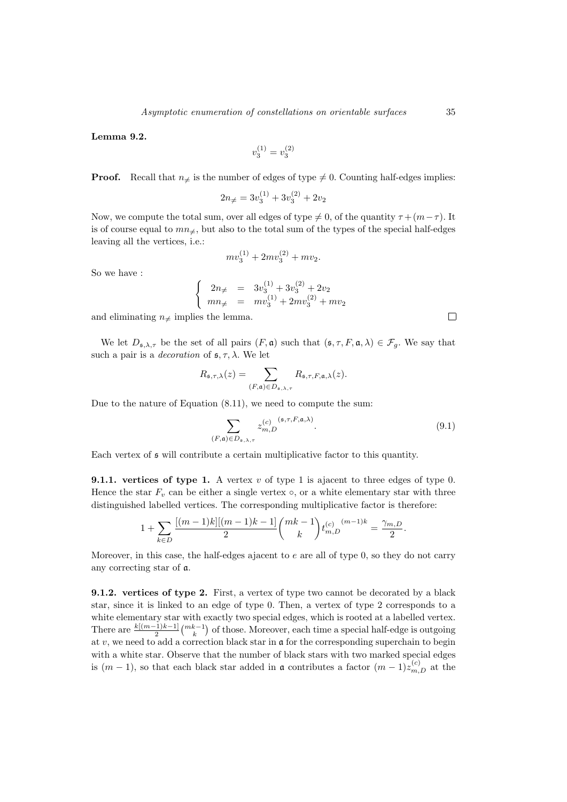Lemma 9.2.

$$
v^{(1)}_3=v^{(2)}_3\\
$$

**Proof.** Recall that  $n \neq$  is the number of edges of type  $\neq 0$ . Counting half-edges implies:

$$
2n_{\neq} = 3v_3^{(1)} + 3v_3^{(2)} + 2v_2
$$

Now, we compute the total sum, over all edges of type  $\neq 0$ , of the quantity  $\tau + (m - \tau)$ . It is of course equal to  $mn_{\neq}$ , but also to the total sum of the types of the special half-edges leaving all the vertices, i.e.:

$$
mv_3^{(1)} + 2mv_3^{(2)} + mv_2.
$$

So we have :

$$
\begin{cases}\n2n_{\neq} = 3v_3^{(1)} + 3v_3^{(2)} + 2v_2 \\
mn_{\neq} = mv_3^{(1)} + 2mv_3^{(2)} + mv_2\n\end{cases}
$$

and eliminating  $n_{\neq}$  implies the lemma.

We let  $D_{\mathfrak{s},\lambda,\tau}$  be the set of all pairs  $(F,\mathfrak{a})$  such that  $(\mathfrak{s},\tau,F,\mathfrak{a},\lambda) \in \mathcal{F}_g$ . We say that such a pair is a *decoration* of  $\epsilon$ ,  $\tau$ ,  $\lambda$ . We let

$$
R_{\mathfrak{s},\tau,\lambda}(z) = \sum_{(F,\mathfrak{a}) \in D_{\mathfrak{s},\lambda,\tau}} R_{\mathfrak{s},\tau,F,\mathfrak{a},\lambda}(z).
$$

Due to the nature of Equation (8.11), we need to compute the sum:

$$
\sum_{\substack{(F,\mathfrak{a}) \in D_{\mathfrak{s},\lambda,\tau}}} z_{m,D}^{(c)}^{(5,\tau,F,\mathfrak{a},\lambda)}.
$$
\n(9.1)

Each vertex of s will contribute a certain multiplicative factor to this quantity.

**9.1.1.** vertices of type 1. A vertex  $v$  of type 1 is ajacent to three edges of type 0. Hence the star  $F_v$  can be either a single vertex  $\circ$ , or a white elementary star with three distinguished labelled vertices. The corresponding multiplicative factor is therefore:

$$
1 + \sum_{k \in D} \frac{[(m-1)k][(m-1)k-1]}{2} \binom{mk-1}{k} t_{m,D}^{(c)} \binom{(m-1)k}{2} = \frac{\gamma_{m,D}}{2}.
$$

Moreover, in this case, the half-edges ajacent to  $e$  are all of type  $0$ , so they do not carry any correcting star of a.

9.1.2. vertices of type 2. First, a vertex of type two cannot be decorated by a black star, since it is linked to an edge of type 0. Then, a vertex of type 2 corresponds to a white elementary star with exactly two special edges, which is rooted at a labelled vertex. There are  $\frac{k[(m-1)k-1]}{2} {mk-1 \choose k}$  of those. Moreover, each time a special half-edge is outgoing at  $v$ , we need to add a correction black star in  $\mathfrak a$  for the corresponding superchain to begin with a white star. Observe that the number of black stars with two marked special edges is  $(m-1)$ , so that each black star added in **a** contributes a factor  $(m-1)z_{m,D}^{(c)}$  at the

 $\Box$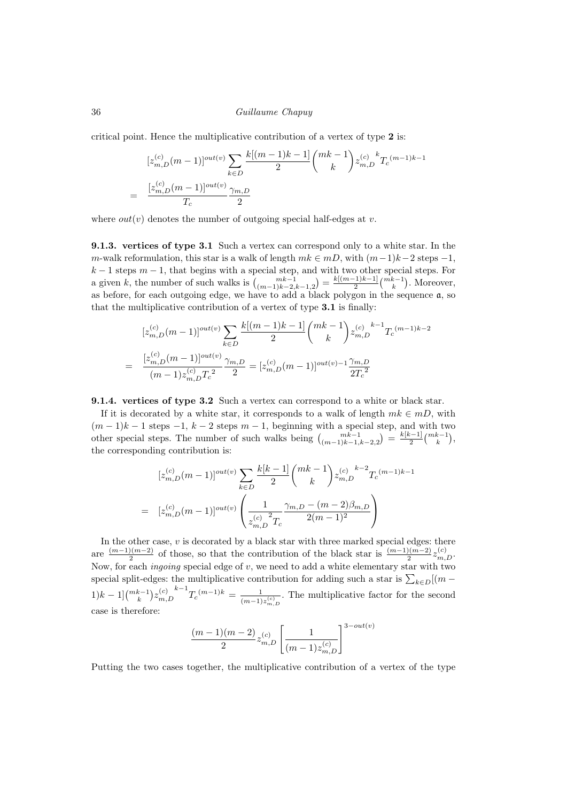critical point. Hence the multiplicative contribution of a vertex of type 2 is:

$$
[z_{m,D}^{(c)}(m-1)]^{out(v)} \sum_{k \in D} \frac{k[(m-1)k-1]}{2} {mk-1 \choose k} z_{m,D}^{(c)} {k \choose k} z_{m,D}^{-(m-1)k-1}
$$
  
= 
$$
\frac{[z_{m,D}^{(c)}(m-1)]^{out(v)}}{T_c} \frac{\gamma_{m,D}}{2}
$$

where  $out(v)$  denotes the number of outgoing special half-edges at v.

9.1.3. vertices of type 3.1 Such a vertex can correspond only to a white star. In the m-walk reformulation, this star is a walk of length  $mk \in mD$ , with  $(m-1)k-2$  steps  $-1$ ,  $k-1$  steps  $m-1$ , that begins with a special step, and with two other special steps. For a given k, the number of such walks is  $\binom{mk-1}{(m-1)k-2,k-1,2} = \frac{k[(m-1)k-1]}{2}$  $\frac{(n-1)k-1}{2}$  $\binom{mk-1}{k}$ . Moreover, as before, for each outgoing edge, we have to add a black polygon in the sequence a, so that the multiplicative contribution of a vertex of type 3.1 is finally:

$$
[z_{m,D}^{(c)}(m-1)]^{out(v)} \sum_{k \in D} \frac{k[(m-1)k-1]}{2} {mk-1 \choose k} z_{m,D}^{(c)} {k-1 \choose k} z_{m,D}^{-(m-1)k-2}
$$
  
= 
$$
\frac{[z_{m,D}^{(c)}(m-1)]^{out(v)}}{(m-1)z_{m,D}^{(c)}T_c^{2}} \frac{\gamma_{m,D}}{2} = [z_{m,D}^{(c)}(m-1)]^{out(v)-1} \frac{\gamma_{m,D}}{2T_c^{2}}
$$

9.1.4. vertices of type 3.2 Such a vertex can correspond to a white or black star.

If it is decorated by a white star, it corresponds to a walk of length  $mk \in mD$ , with  $(m-1)k-1$  steps  $-1, k-2$  steps  $m-1$ , beginning with a special step, and with two other special steps. The number of such walks being  $\binom{mk-1}{(m-1)k-1,k-2,2} = \frac{k[k-1]}{2}$  $rac{k-1]}{2}\binom{mk-1}{k},$ the corresponding contribution is:

$$
[z_{m,D}^{(c)}(m-1)]^{out(v)} \sum_{k \in D} \frac{k[k-1]}{2} {mk-1 \choose k} z_{m,D}^{(c)} {k-2 \choose k} x_{m,D}^{(-m-1)k-1}
$$
  
= 
$$
[z_{m,D}^{(c)}(m-1)]^{out(v)} \left( \frac{1}{z_{m,D}^{(c)}{}^2 T_c} \frac{\gamma_{m,D} - (m-2)\beta_{m,D}}{2(m-1)^2} \right)
$$

In the other case,  $v$  is decorated by a black star with three marked special edges: there are  $\frac{(m-1)(m-2)}{2}$  $\frac{2(n-2)}{2}$  of those, so that the contribution of the black star is  $\frac{(m-1)(m-2)}{2}z_{m,D}^{(c)}$ . Now, for each *ingoing* special edge of  $v$ , we need to add a white elementary star with two special split-edges: the multiplicative contribution for adding such a star is  $\sum_{k \in D} [(m (1)k-1\frac{m k-1}{k}z_{m}^{(c)}$  $_{m,D}$  $k-1$ <br> $T_c^{(m-1)k} = \frac{1}{(m-1)^k}$  $\frac{1}{(m-1)z_{m,D}^{(c)}}$ . The multiplicative factor for the second case is therefore:

$$
\frac{(m-1)(m-2)}{2}z_{m,D}^{(c)}\left[\frac{1}{(m-1)z_{m,D}^{(c)}}\right]^{3-out(v)}
$$

Putting the two cases together, the multiplicative contribution of a vertex of the type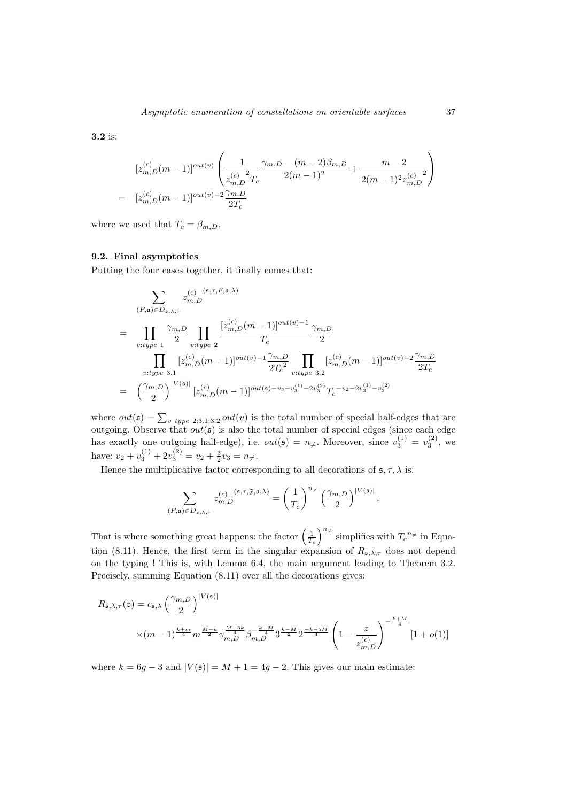3.2 is:

$$
[z_{m,D}^{(c)}(m-1)]^{out(v)}\left(\frac{1}{z_{m,D}^{(c)}}\frac{\gamma_{m,D}-(m-2)\beta_{m,D}}{2(m-1)^2}+\frac{m-2}{2(m-1)^2z_{m,D}^{(c)}}\right)
$$
  
=  $[z_{m,D}^{(c)}(m-1)]^{out(v)-2}\frac{\gamma_{m,D}}{2T_c}$ 

where we used that  $T_c = \beta_{m,D}$ .

#### 9.2. Final asymptotics

Putting the four cases together, it finally comes that:

$$
\sum_{(F,\mathfrak{a}) \in D_{\mathfrak{s},\lambda,\tau}} z_{m,D}^{(c)} \zeta_{m,D}^{(\mathfrak{s},\tau,F,\mathfrak{a},\lambda)}
$$
\n
$$
= \prod_{v:type 1} \frac{\gamma_{m,D}}{2} \prod_{v:type 2} \frac{[z_{m,D}^{(c)}(m-1)]^{out(v)-1}}{T_c} \frac{\gamma_{m,D}}{2}
$$
\n
$$
\prod_{v:type 3.1} [z_{m,D}^{(c)}(m-1)]^{out(v)-1} \frac{\gamma_{m,D}}{2T_c^2} \prod_{v:type 3.2} [z_{m,D}^{(c)}(m-1)]^{out(v)-2} \frac{\gamma_{m,D}}{2T_c}
$$
\n
$$
= \left(\frac{\gamma_{m,D}}{2}\right)^{|V(\mathfrak{s})|} [z_{m,D}^{(c)}(m-1)]^{out(\mathfrak{s})-v_2-v_3^{(1)}-2v_3^{(2)}} T_c^{-v_2-2v_3^{(1)}-v_3^{(2)}}
$$

where  $out(\mathfrak{s}) = \sum_{v \text{ type } 2,3.1,3.2} out(v)$  is the total number of special half-edges that are outgoing. Observe that  $out(s)$  is also the total number of special edges (since each edge has exactly one outgoing half-edge), i.e.  $out(\mathfrak{s}) = n_{\neq}$ . Moreover, since  $v_3^{(1)} = v_3^{(2)}$ , we have:  $v_2 + v_3^{(1)} + 2v_3^{(2)} = v_2 + \frac{3}{2}v_3 = n_{\neq}.$ 

Hence the multiplicative factor corresponding to all decorations of  $\mathfrak{s}, \tau, \lambda$  is:

$$
\sum_{(F,\mathfrak{a})\in D_{\mathfrak{s},\lambda,\tau}}z_{m,D}^{(c)}\hskip.03cm z_{m,D}^{(\mathfrak{s},\tau,\mathfrak{F},\mathfrak{a},\lambda)}=\left(\frac{1}{T_c}\right)^{n_{\neq}}\left(\frac{\gamma_{m,D}}{2}\right)^{|V(\mathfrak{s})|}
$$

.

That is where something great happens: the factor  $\left(\frac{1}{T_c}\right)^{n_{\neq}}$  simplifies with  $T_c^{n_{\neq}}$  in Equation (8.11). Hence, the first term in the singular expansion of  $R_{\mathfrak{s},\lambda,\tau}$  does not depend on the typing ! This is, with Lemma 6.4, the main argument leading to Theorem 3.2. Precisely, summing Equation (8.11) over all the decorations gives:

$$
R_{\mathfrak{s},\lambda,\tau}(z) = c_{\mathfrak{s},\lambda} \left(\frac{\gamma_{m,D}}{2}\right)^{|V(\mathfrak{s})|} \times (m-1)^{\frac{k+m}{4}} m^{\frac{M-k}{2}} \gamma_{m,D}^{\frac{M-3k}{4}} \beta_{m,D}^{-\frac{k+M}{4}} 3^{\frac{k-M}{2}} 2^{\frac{-k-5M}{4}} \left(1 - \frac{z}{z_{m,D}^{(c)}}\right)^{-\frac{k+M}{4}} [1+o(1)]
$$

where  $k = 6g - 3$  and  $|V(\mathfrak{s})| = M + 1 = 4g - 2$ . This gives our main estimate: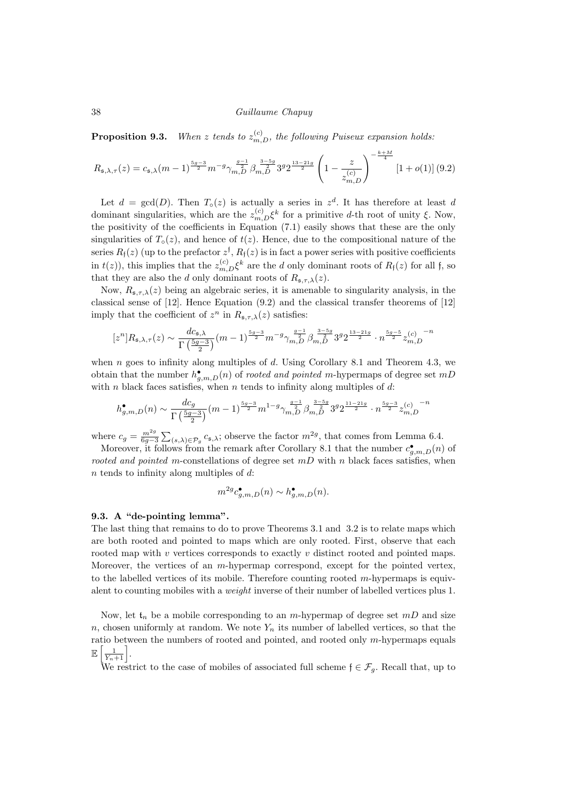**Proposition 9.3.** When z tends to  $z_{m,D}^{(c)}$ , the following Puiseux expansion holds:

$$
R_{\mathfrak{s},\lambda,\tau}(z) = c_{\mathfrak{s},\lambda}(m-1)^{\frac{5g-3}{2}} m^{-g} \gamma_{m,D}^{\frac{g-1}{2}} \beta_{m,D}^{\frac{3-5g}{2}} 3^g 2^{\frac{13-21g}{2}} \left(1 - \frac{z}{z_{m,D}^{(c)}}\right)^{-\frac{k+M}{4}} [1+o(1)] \ (9.2)
$$

Let  $d = \gcd(D)$ . Then  $T_0(z)$  is actually a series in  $z^d$ . It has therefore at least d dominant singularities, which are the  $z_{m,D}^{(c)} \xi^k$  for a primitive d-th root of unity  $\xi$ . Now, the positivity of the coefficients in Equation (7.1) easily shows that these are the only singularities of  $T_0(z)$ , and hence of  $t(z)$ . Hence, due to the compositional nature of the series  $R_{\mathfrak{f}}(z)$  (up to the prefactor  $z^{\mathfrak{f}}, R_{\mathfrak{f}}(z)$  is in fact a power series with positive coefficients in  $t(z)$ ), this implies that the  $z_{m,D}^{(c)} \xi^k$  are the d only dominant roots of  $R_f(z)$  for all f, so that they are also the d only dominant roots of  $R_{\mathfrak{s},\tau,\lambda}(z)$ .

Now,  $R_{\mathfrak{s},\tau,\lambda}(z)$  being an algebraic series, it is amenable to singularity analysis, in the classical sense of [12]. Hence Equation (9.2) and the classical transfer theorems of [12] imply that the coefficient of  $z^n$  in  $R_{\mathfrak{s},\tau,\lambda}(z)$  satisfies:

$$
[z^n] R_{\mathfrak{s},\lambda,\tau}(z) \sim \frac{d c_{\mathfrak{s},\lambda}}{\Gamma\left(\frac{5g-3}{2}\right)} (m-1)^{\frac{5g-3}{2}} m^{-g} \gamma_{m,D}^{\frac{g-1}{2}} \beta_{m,D}^{\frac{3-5g}{2}} 3^g 2^{\frac{13-21g}{2}} \cdot n^{\frac{5g-5}{2}} z_{m,D}^{(c)} \hspace*{1mm}^{-n}
$$

when n goes to infinity along multiples of d. Using Corollary 8.1 and Theorem 4.3, we obtain that the number  $h_{g,m,D}^{\bullet}(n)$  of *rooted and pointed m*-hypermaps of degree set  $mD$ with n black faces satisfies, when n tends to infinity along multiples of  $d$ :

$$
h_{g,m,D}^{\bullet}(n) \sim \frac{dc_g}{\Gamma(\frac{5g-3}{2})}(m-1)^{\frac{5g-3}{2}}m^{1-g}\gamma_{m,D}^{\frac{g-1}{2}}\beta_{m,D}^{\frac{3-5g}{2}}3^g2^{\frac{11-21g}{2}}\cdot n^{\frac{5g-3}{2}}z_{m,D}^{(c)}^{\frac{m}{2}}
$$

where  $c_g = \frac{m^{2g}}{6g-3} \sum_{(s,\lambda) \in \mathcal{P}_g} c_{\mathfrak{s},\lambda}$ ; observe the factor  $m^{2g}$ , that comes from Lemma 6.4.

Moreover, it follows from the remark after Corollary 8.1 that the number  $c_{g,m,D}^{\bullet}(n)$  of rooted and pointed m-constellations of degree set  $mD$  with n black faces satisfies, when  $n$  tends to infinity along multiples of  $d$ :

$$
m^{2g}c_{g,m,D}^{\bullet}(n) \sim h_{g,m,D}^{\bullet}(n).
$$

# 9.3. A "de-pointing lemma".

The last thing that remains to do to prove Theorems 3.1 and 3.2 is to relate maps which are both rooted and pointed to maps which are only rooted. First, observe that each rooted map with  $v$  vertices corresponds to exactly  $v$  distinct rooted and pointed maps. Moreover, the vertices of an  $m$ -hypermap correspond, except for the pointed vertex, to the labelled vertices of its mobile. Therefore counting rooted  $m$ -hypermaps is equivalent to counting mobiles with a weight inverse of their number of labelled vertices plus 1.

Now, let  $t_n$  be a mobile corresponding to an m-hypermap of degree set mD and size n, chosen uniformly at random. We note  $Y_n$  its number of labelled vertices, so that the ratio between the numbers of rooted and pointed, and rooted only m-hypermaps equals  $\mathbb{E}\left[\frac{1}{Y_n+1}\right]$ .

We restrict to the case of mobiles of associated full scheme  $f \in \mathcal{F}_q$ . Recall that, up to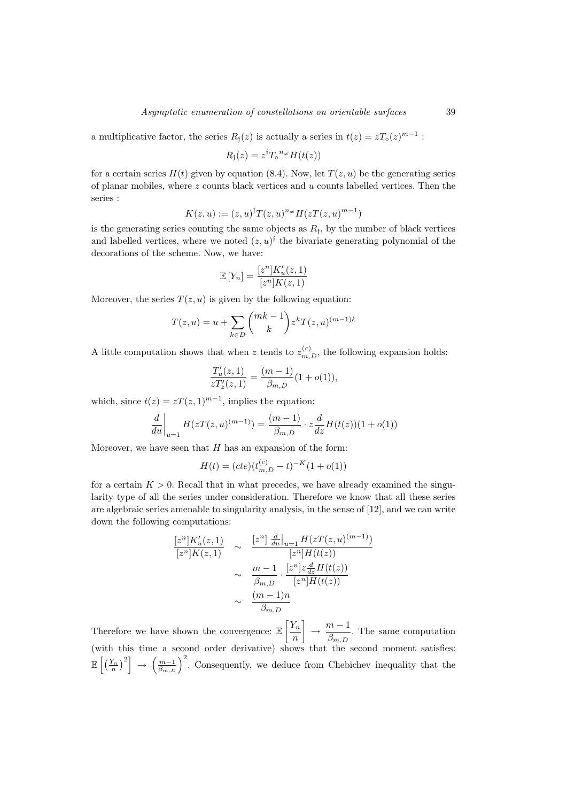a multiplicative factor, the series  $R_{\mathfrak{f}}(z)$  is actually a series in  $t(z) = zT_{\mathfrak{g}}(z)^{m-1}$ :

$$
R_{\mathfrak{f}}(z) = z^{\mathfrak{f}} T_{\circ}^{n_{\neq}} H(t(z))
$$

for a certain series  $H(t)$  given by equation (8.4). Now, let  $T(z, u)$  be the generating series of planar mobiles, where  $z$  counts black vertices and  $u$  counts labelled vertices. Then the series :

$$
K(z, u) := (z, u)^{\dagger} T(z, u)^{n_{\neq}} H(zT(z, u)^{m-1})
$$

is the generating series counting the same objects as  $R_f$ , by the number of black vertices and labelled vertices, where we noted  $(z, u)$ <sup>f</sup> the bivariate generating polynomial of the decorations of the scheme. Now, we have:

$$
\mathbb{E}\left[Y_n\right] = \frac{[z^n]K_u'(z,1)}{[z^n]K(z,1)}
$$

Moreover, the series  $T(z, u)$  is given by the following equation:

$$
T(z, u) = u + \sum_{k \in D} {mk - 1 \choose k} z^{k} T(z, u)^{(m-1)k}
$$

A little computation shows that when z tends to  $z_{m,D}^{(c)}$ , the following expansion holds:

$$
\frac{T_u'(z,1)}{zT_z'(z,1)} = \frac{(m-1)}{\beta_{m,D}}(1+o(1)),
$$

which, since  $t(z) = zT(z, 1)^{m-1}$ , implies the equation:

$$
\frac{d}{du}\bigg|_{u=1} H(zT(z, u)^{(m-1)}) = \frac{(m-1)}{\beta_{m,D}} \cdot z \frac{d}{dz} H(t(z))(1 + o(1))
$$

Moreover, we have seen that  $H$  has an expansion of the form:

$$
H(t) = (cte)(t_{m,D}^{(c)} - t)^{-K}(1 + o(1))
$$

for a certain  $K > 0$ . Recall that in what precedes, we have already examined the singularity type of all the series under consideration. Therefore we know that all these series are algebraic series amenable to singularity analysis, in the sense of [12], and we can write down the following computations:

$$
\frac{[z^n]K'_u(z,1)}{[z^n]K(z,1)} \sim \frac{[z^n] \frac{d}{du}|_{u=1} H(zT(z,u)^{(m-1)})}{[z^n]H(t(z))}
$$

$$
\sim \frac{m-1}{\beta_{m,D}} \cdot \frac{[z^n]z\frac{d}{dz}H(t(z))}{[z^n]H(t(z))}
$$

$$
\sim \frac{(m-1)n}{\beta_{m,D}}
$$

Therefore we have shown the convergence:  $\mathbb{E}\left[\frac{Y_n}{Y_n}\right]$ n  $\Big] \rightarrow \frac{m-1}{a}$  $\frac{m}{\beta_{m,D}}$ . The same computation (with this time a second order derivative) shows that the second moment satisfies:  $\mathbb{E}\left[\left(\frac{Y_n}{n}\right)^2\right] \to \left(\frac{m-1}{\beta_{m,D}}\right)^2$ . Consequently, we deduce from Chebichev inequality that the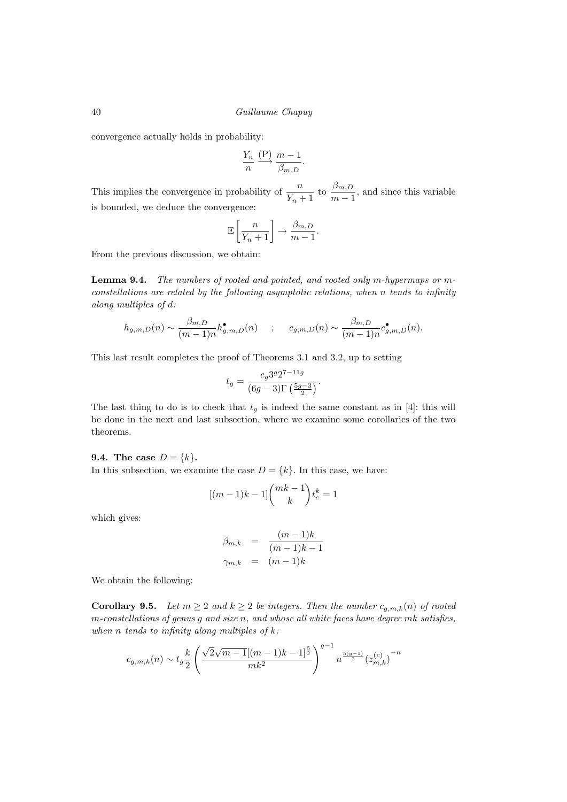convergence actually holds in probability:

$$
\frac{Y_n}{n} \xrightarrow{\text{(P)}} \frac{m-1}{\beta_{m,D}}.
$$

This implies the convergence in probability of  $\frac{n}{Y_n+1}$  to  $\frac{\beta_{m,D}}{m-1}$  $\frac{\beta m, D}{m-1}$ , and since this variable is bounded, we deduce the convergence:

$$
\mathbb{E}\left[\frac{n}{Y_n+1}\right] \to \frac{\beta_{m,D}}{m-1}.
$$

From the previous discussion, we obtain:

Lemma 9.4. The numbers of rooted and pointed, and rooted only m-hypermaps or mconstellations are related by the following asymptotic relations, when n tends to infinity along multiples of d:

$$
h_{g,m,D}(n) \sim \frac{\beta_{m,D}}{(m-1)n} h_{g,m,D}^{\bullet}(n) \qquad ; \qquad c_{g,m,D}(n) \sim \frac{\beta_{m,D}}{(m-1)n} c_{g,m,D}^{\bullet}(n).
$$

This last result completes the proof of Theorems 3.1 and 3.2, up to setting

$$
t_g = \frac{c_g 3^g 2^{7-11g}}{(6g-3)\Gamma(\frac{5g-3}{2})}.
$$

The last thing to do is to check that  $t_g$  is indeed the same constant as in [4]: this will be done in the next and last subsection, where we examine some corollaries of the two theorems.

# **9.4.** The case  $D = \{k\}.$

In this subsection, we examine the case  $D = \{k\}$ . In this case, we have:

$$
[(m-1)k-1] \binom{mk-1}{k} t_c^k = 1
$$

which gives:

$$
\beta_{m,k} = \frac{(m-1)k}{(m-1)k-1}
$$

$$
\gamma_{m,k} = (m-1)k
$$

We obtain the following:

**Corollary 9.5.** Let  $m \geq 2$  and  $k \geq 2$  be integers. Then the number  $c_{g,m,k}(n)$  of rooted  $m$ -constellations of genus  $g$  and size  $n$ , and whose all white faces have degree  $mk$  satisfies, when n tends to infinity along multiples of  $k$ :

$$
c_{g,m,k}(n) \sim t_g \frac{k}{2} \left( \frac{\sqrt{2}\sqrt{m-1}[(m-1)k-1]^{\frac{5}{2}}}{mk^2} \right)^{g-1} n^{\frac{5(g-1)}{2}} (z_{m,k}^{(c)})^{-n}
$$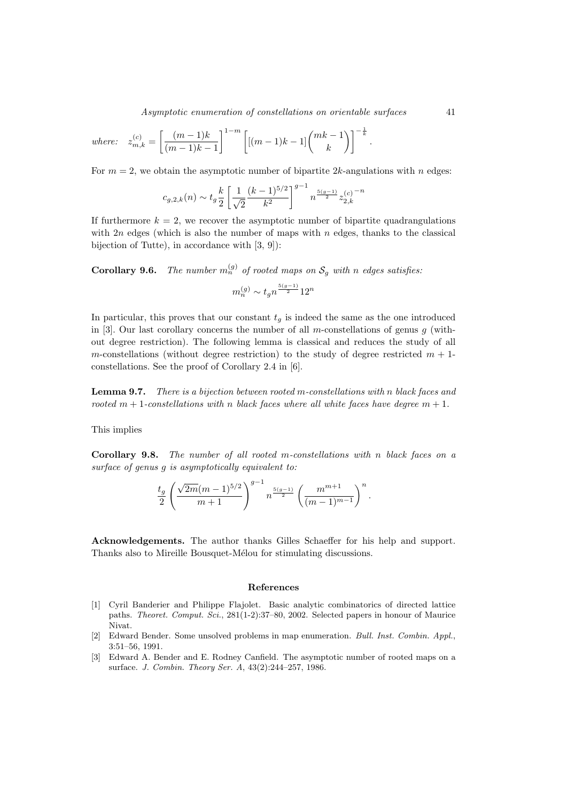Asymptotic enumeration of constellations on orientable surfaces 41

where: 
$$
z_{m,k}^{(c)} = \left[\frac{(m-1)k}{(m-1)k-1}\right]^{1-m} \left[[(m-1)k-1]\binom{mk-1}{k}\right]^{-\frac{1}{k}}.
$$

For  $m = 2$ , we obtain the asymptotic number of bipartite 2k-angulations with n edges:

$$
c_{g,2,k}(n) \sim t_g \frac{k}{2} \left[ \frac{1}{\sqrt{2}} \frac{(k-1)^{5/2}}{k^2} \right]^{g-1} n^{\frac{5(g-1)}{2}} z_{2,k}^{(c)} \label{eq:cs2}
$$

If furthermore  $k = 2$ , we recover the asymptotic number of bipartite quadrangulations with  $2n$  edges (which is also the number of maps with n edges, thanks to the classical bijection of Tutte), in accordance with [3, 9]):

**Corollary 9.6.** The number  $m_n^{(g)}$  of rooted maps on  $\mathcal{S}_g$  with n edges satisfies:

$$
m_n^{(g)} \sim t_g n^{\frac{5(g-1)}{2}} 12^n
$$

In particular, this proves that our constant  $t<sub>q</sub>$  is indeed the same as the one introduced in [3]. Our last corollary concerns the number of all  $m$ -constellations of genus  $g$  (without degree restriction). The following lemma is classical and reduces the study of all m-constellations (without degree restriction) to the study of degree restricted  $m + 1$ constellations. See the proof of Corollary 2.4 in [6].

Lemma 9.7. There is a bijection between rooted m-constellations with n black faces and rooted  $m + 1$ -constellations with n black faces where all white faces have degree  $m + 1$ .

This implies

Corollary 9.8. The number of all rooted m-constellations with n black faces on a surface of genus g is asymptotically equivalent to:

$$
\frac{t_g}{2} \left( \frac{\sqrt{2m} (m-1)^{5/2}}{m+1} \right)^{g-1} n^{\frac{5(g-1)}{2}} \left( \frac{m^{m+1}}{(m-1)^{m-1}} \right)^n.
$$

Acknowledgements. The author thanks Gilles Schaeffer for his help and support. Thanks also to Mireille Bousquet-Mélou for stimulating discussions.

#### References

- [1] Cyril Banderier and Philippe Flajolet. Basic analytic combinatorics of directed lattice paths. Theoret. Comput. Sci., 281(1-2):37–80, 2002. Selected papers in honour of Maurice Nivat.
- [2] Edward Bender. Some unsolved problems in map enumeration. Bull. Inst. Combin. Appl., 3:51–56, 1991.
- [3] Edward A. Bender and E. Rodney Canfield. The asymptotic number of rooted maps on a surface. J. Combin. Theory Ser. A, 43(2):244–257, 1986.